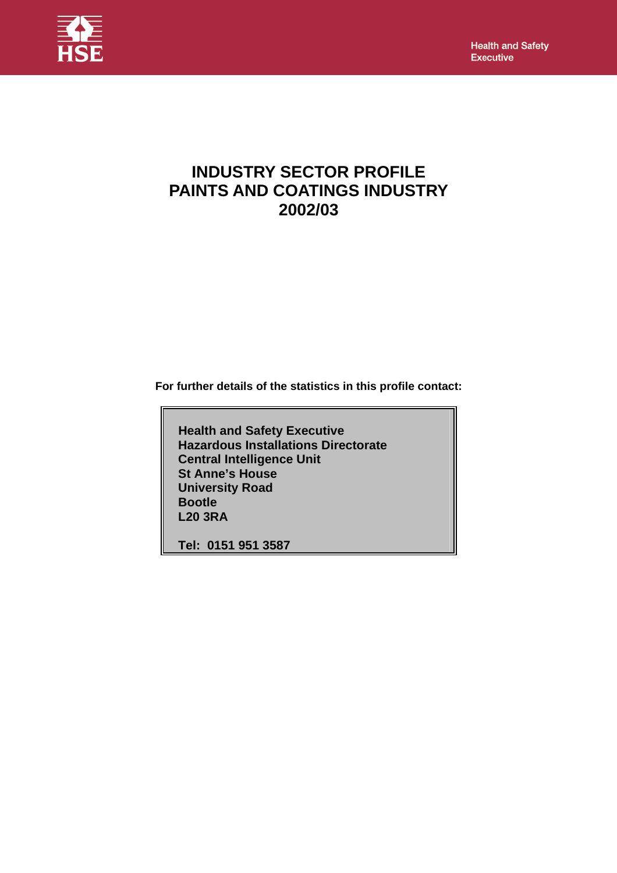**Health and Safety** Executive



# **INDUSTRY SECTOR PROFILE PAINTS AND COATINGS INDUSTRY 2002/03**

**For further details of the statistics in this profile contact:** 

 **Health and Safety Executive Hazardous Installations Directorate Central Intelligence Unit St Anne's House University Road Bootle L20 3RA** 

 **Tel: 0151 951 3587**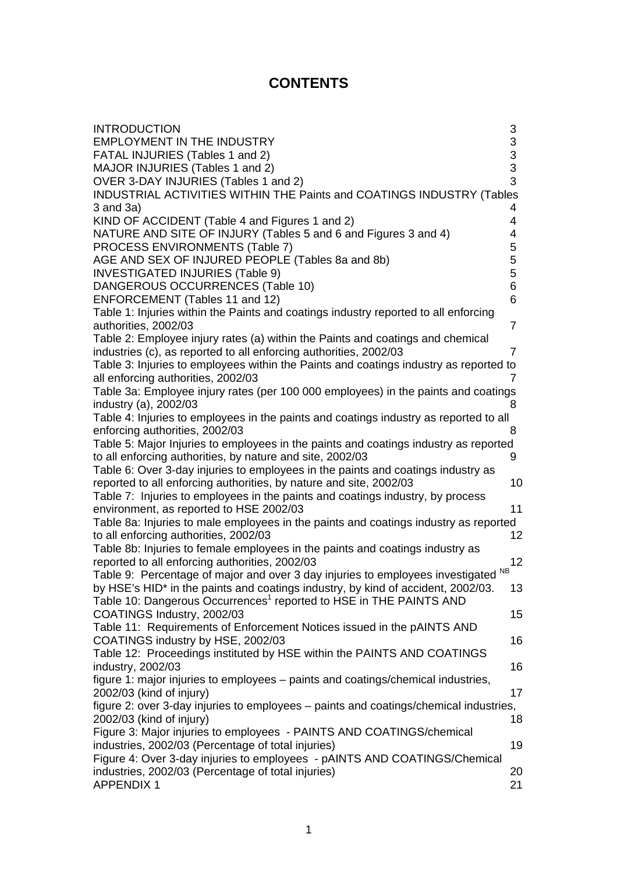# **CONTENTS**

| <b>INTRODUCTION</b>                                                                                                       | 3  |
|---------------------------------------------------------------------------------------------------------------------------|----|
| <b>EMPLOYMENT IN THE INDUSTRY</b>                                                                                         | 3  |
| FATAL INJURIES (Tables 1 and 2)                                                                                           | 3  |
| MAJOR INJURIES (Tables 1 and 2)                                                                                           | 3  |
| OVER 3-DAY INJURIES (Tables 1 and 2)                                                                                      | 3  |
| INDUSTRIAL ACTIVITIES WITHIN THE Paints and COATINGS INDUSTRY (Tables                                                     |    |
| $3$ and $3a)$                                                                                                             | 4  |
| KIND OF ACCIDENT (Table 4 and Figures 1 and 2)                                                                            | 4  |
| NATURE AND SITE OF INJURY (Tables 5 and 6 and Figures 3 and 4)                                                            | 4  |
| PROCESS ENVIRONMENTS (Table 7)                                                                                            | 5  |
| AGE AND SEX OF INJURED PEOPLE (Tables 8a and 8b)                                                                          | 5  |
| <b>INVESTIGATED INJURIES (Table 9)</b>                                                                                    | 5  |
| DANGEROUS OCCURRENCES (Table 10)                                                                                          | 6  |
| ENFORCEMENT (Tables 11 and 12)                                                                                            | 6  |
| Table 1: Injuries within the Paints and coatings industry reported to all enforcing                                       |    |
| authorities, 2002/03                                                                                                      | 7  |
| Table 2: Employee injury rates (a) within the Paints and coatings and chemical                                            |    |
| industries (c), as reported to all enforcing authorities, 2002/03                                                         | 7  |
| Table 3: Injuries to employees within the Paints and coatings industry as reported to                                     |    |
| all enforcing authorities, 2002/03                                                                                        | 7  |
| Table 3a: Employee injury rates (per 100 000 employees) in the paints and coatings                                        |    |
| industry (a), 2002/03                                                                                                     | 8  |
| Table 4: Injuries to employees in the paints and coatings industry as reported to all                                     |    |
| enforcing authorities, 2002/03                                                                                            | 8  |
| Table 5: Major Injuries to employees in the paints and coatings industry as reported                                      |    |
| to all enforcing authorities, by nature and site, 2002/03                                                                 | 9  |
| Table 6: Over 3-day injuries to employees in the paints and coatings industry as                                          |    |
| reported to all enforcing authorities, by nature and site, 2002/03                                                        | 10 |
| Table 7: Injuries to employees in the paints and coatings industry, by process<br>environment, as reported to HSE 2002/03 | 11 |
| Table 8a: Injuries to male employees in the paints and coatings industry as reported                                      |    |
| to all enforcing authorities, 2002/03                                                                                     | 12 |
| Table 8b: Injuries to female employees in the paints and coatings industry as                                             |    |
| reported to all enforcing authorities, 2002/03                                                                            | 12 |
| <b>NB</b><br>Table 9: Percentage of major and over 3 day injuries to employees investigated                               |    |
| by HSE's HID* in the paints and coatings industry, by kind of accident, 2002/03.                                          | 13 |
| Table 10: Dangerous Occurrences <sup>1</sup> reported to HSE in THE PAINTS AND                                            |    |
| COATINGS Industry, 2002/03                                                                                                | 15 |
| Table 11: Requirements of Enforcement Notices issued in the pAINTS AND                                                    |    |
| COATINGS industry by HSE, 2002/03                                                                                         | 16 |
| Table 12: Proceedings instituted by HSE within the PAINTS AND COATINGS                                                    |    |
| industry, 2002/03                                                                                                         | 16 |
| figure 1: major injuries to employees – paints and coatings/chemical industries,                                          |    |
| 2002/03 (kind of injury)                                                                                                  | 17 |
| figure 2: over 3-day injuries to employees – paints and coatings/chemical industries,                                     |    |
| 2002/03 (kind of injury)                                                                                                  | 18 |
| Figure 3: Major injuries to employees - PAINTS AND COATINGS/chemical                                                      |    |
| industries, 2002/03 (Percentage of total injuries)                                                                        | 19 |
| Figure 4: Over 3-day injuries to employees - pAINTS AND COATINGS/Chemical                                                 |    |
| industries, 2002/03 (Percentage of total injuries)                                                                        | 20 |
| <b>APPENDIX 1</b>                                                                                                         | 21 |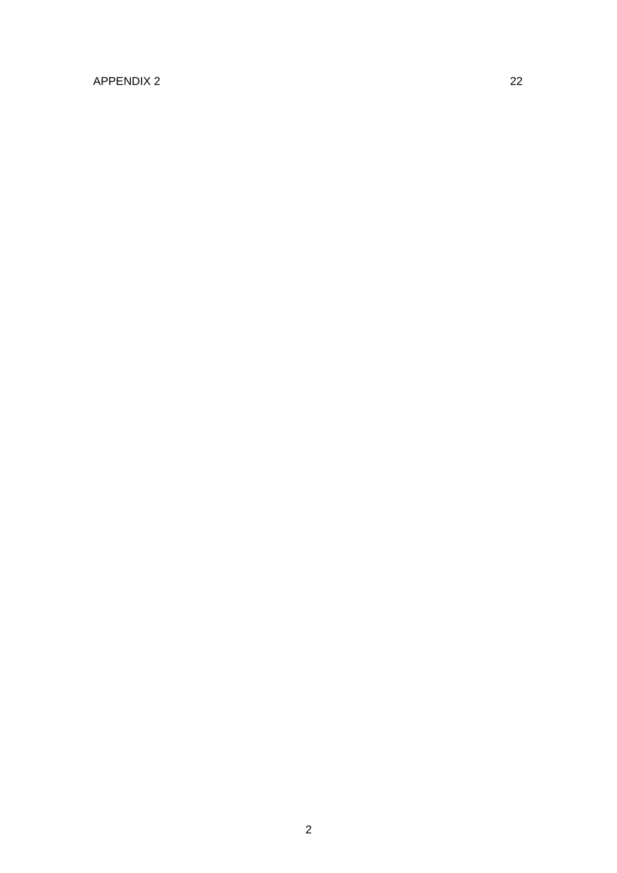# [APPENDIX 2 22](#page-22-0)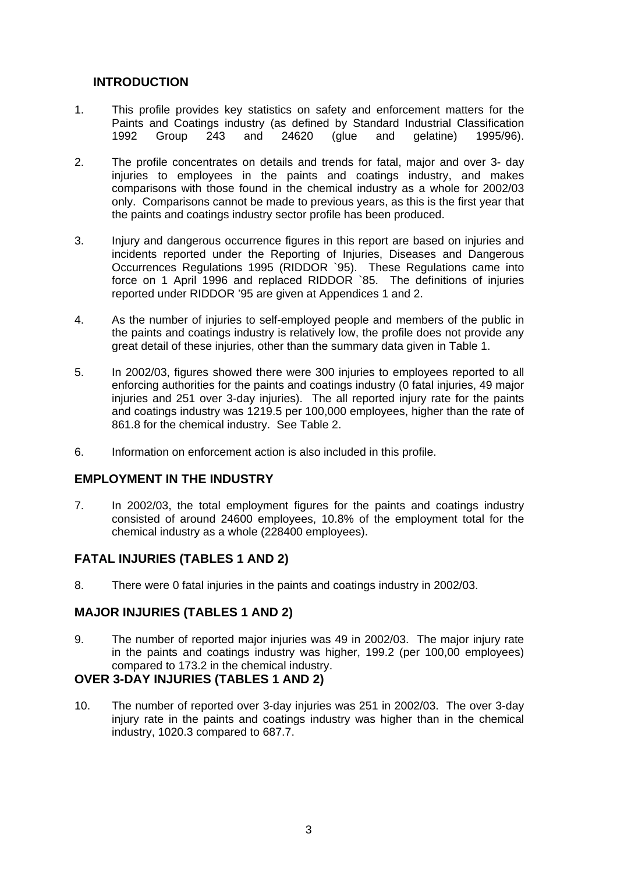# <span id="page-3-0"></span>**INTRODUCTION**

- 1. This profile provides key statistics on safety and enforcement matters for the Paints and Coatings industry (as defined by Standard Industrial Classification 1992 Group 243 and 24620 (glue and gelatine) 1995/96).
- 2. The profile concentrates on details and trends for fatal, major and over 3- day injuries to employees in the paints and coatings industry, and makes comparisons with those found in the chemical industry as a whole for 2002/03 only. Comparisons cannot be made to previous years, as this is the first year that the paints and coatings industry sector profile has been produced.
- 3. Injury and dangerous occurrence figures in this report are based on injuries and incidents reported under the Reporting of Injuries, Diseases and Dangerous Occurrences Regulations 1995 (RIDDOR `95). These Regulations came into force on 1 April 1996 and replaced RIDDOR `85. The definitions of injuries reported under RIDDOR '95 are given at Appendices 1 and 2.
- 4. As the number of injuries to self-employed people and members of the public in the paints and coatings industry is relatively low, the profile does not provide any great detail of these injuries, other than the summary data given in Table 1.
- 5. In 2002/03, figures showed there were 300 injuries to employees reported to all enforcing authorities for the paints and coatings industry (0 fatal injuries, 49 major injuries and 251 over 3-day injuries). The all reported injury rate for the paints and coatings industry was 1219.5 per 100,000 employees, higher than the rate of 861.8 for the chemical industry. See Table 2.
- 6. Information on enforcement action is also included in this profile.

### **EMPLOYMENT IN THE INDUSTRY**

7. In 2002/03, the total employment figures for the paints and coatings industry consisted of around 24600 employees, 10.8% of the employment total for the chemical industry as a whole (228400 employees).

### **FATAL INJURIES (TABLES 1 AND 2)**

8. There were 0 fatal injuries in the paints and coatings industry in 2002/03.

### **MAJOR INJURIES (TABLES 1 AND 2)**

9. The number of reported major injuries was 49 in 2002/03. The major injury rate in the paints and coatings industry was higher, 199.2 (per 100,00 employees) compared to 173.2 in the chemical industry.

#### **OVER 3-DAY INJURIES (TABLES 1 AND 2)**

10. The number of reported over 3-day injuries was 251 in 2002/03. The over 3-day injury rate in the paints and coatings industry was higher than in the chemical industry, 1020.3 compared to 687.7.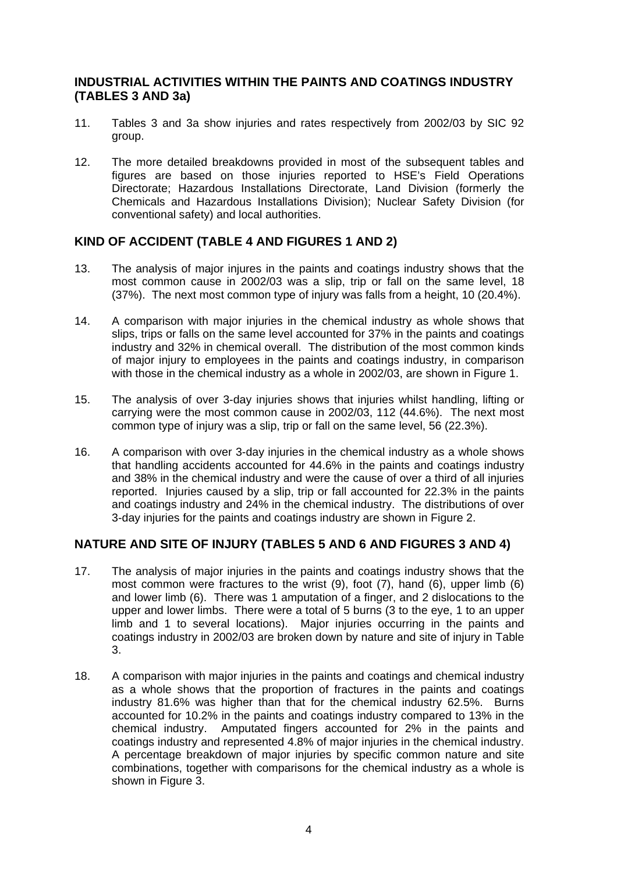#### <span id="page-4-0"></span>**INDUSTRIAL ACTIVITIES WITHIN THE PAINTS AND COATINGS INDUSTRY (TABLES 3 AND 3a)**

- 11. Tables 3 and 3a show injuries and rates respectively from 2002/03 by SIC 92 group.
- 12. The more detailed breakdowns provided in most of the subsequent tables and figures are based on those injuries reported to HSE's Field Operations Directorate; Hazardous Installations Directorate, Land Division (formerly the Chemicals and Hazardous Installations Division); Nuclear Safety Division (for conventional safety) and local authorities.

#### **KIND OF ACCIDENT (TABLE 4 AND FIGURES 1 AND 2)**

- 13. The analysis of major injures in the paints and coatings industry shows that the most common cause in 2002/03 was a slip, trip or fall on the same level, 18 (37%). The next most common type of injury was falls from a height, 10 (20.4%).
- 14. A comparison with major injuries in the chemical industry as whole shows that slips, trips or falls on the same level accounted for 37% in the paints and coatings industry and 32% in chemical overall. The distribution of the most common kinds of major injury to employees in the paints and coatings industry, in comparison with those in the chemical industry as a whole in 2002/03, are shown in Figure 1.
- 15. The analysis of over 3-day injuries shows that injuries whilst handling, lifting or carrying were the most common cause in 2002/03, 112 (44.6%). The next most common type of injury was a slip, trip or fall on the same level, 56 (22.3%).
- 16. A comparison with over 3-day injuries in the chemical industry as a whole shows that handling accidents accounted for 44.6% in the paints and coatings industry and 38% in the chemical industry and were the cause of over a third of all injuries reported. Injuries caused by a slip, trip or fall accounted for 22.3% in the paints and coatings industry and 24% in the chemical industry. The distributions of over 3-day injuries for the paints and coatings industry are shown in Figure 2.

### **NATURE AND SITE OF INJURY (TABLES 5 AND 6 AND FIGURES 3 AND 4)**

- 17. The analysis of major injuries in the paints and coatings industry shows that the most common were fractures to the wrist (9), foot (7), hand (6), upper limb (6) and lower limb (6). There was 1 amputation of a finger, and 2 dislocations to the upper and lower limbs. There were a total of 5 burns (3 to the eye, 1 to an upper limb and 1 to several locations). Major injuries occurring in the paints and coatings industry in 2002/03 are broken down by nature and site of injury in Table 3.
- 18. A comparison with major injuries in the paints and coatings and chemical industry as a whole shows that the proportion of fractures in the paints and coatings industry 81.6% was higher than that for the chemical industry 62.5%. Burns accounted for 10.2% in the paints and coatings industry compared to 13% in the chemical industry. Amputated fingers accounted for 2% in the paints and coatings industry and represented 4.8% of major injuries in the chemical industry. A percentage breakdown of major injuries by specific common nature and site combinations, together with comparisons for the chemical industry as a whole is shown in Figure 3.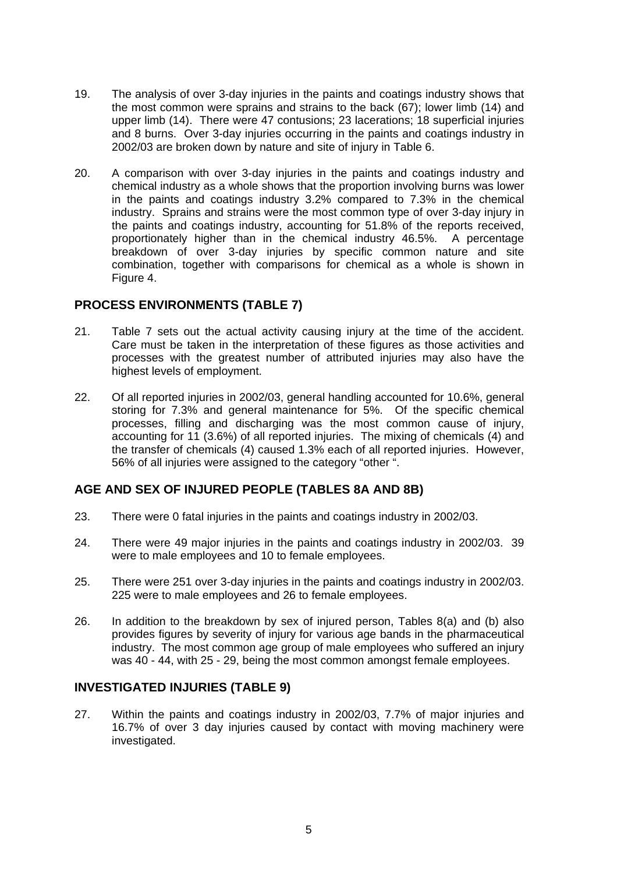- <span id="page-5-0"></span>19. The analysis of over 3-day injuries in the paints and coatings industry shows that the most common were sprains and strains to the back (67); lower limb (14) and upper limb (14). There were 47 contusions; 23 lacerations; 18 superficial injuries and 8 burns. Over 3-day injuries occurring in the paints and coatings industry in 2002/03 are broken down by nature and site of injury in Table 6.
- 20. A comparison with over 3-day injuries in the paints and coatings industry and chemical industry as a whole shows that the proportion involving burns was lower in the paints and coatings industry 3.2% compared to 7.3% in the chemical industry. Sprains and strains were the most common type of over 3-day injury in the paints and coatings industry, accounting for 51.8% of the reports received, proportionately higher than in the chemical industry 46.5%. A percentage breakdown of over 3-day injuries by specific common nature and site combination, together with comparisons for chemical as a whole is shown in Figure 4.

### **PROCESS ENVIRONMENTS (TABLE 7)**

- 21. Table 7 sets out the actual activity causing injury at the time of the accident. Care must be taken in the interpretation of these figures as those activities and processes with the greatest number of attributed injuries may also have the highest levels of employment.
- 22. Of all reported injuries in 2002/03, general handling accounted for 10.6%, general storing for 7.3% and general maintenance for 5%. Of the specific chemical processes, filling and discharging was the most common cause of injury, accounting for 11 (3.6%) of all reported injuries. The mixing of chemicals (4) and the transfer of chemicals (4) caused 1.3% each of all reported injuries. However, 56% of all injuries were assigned to the category "other ".

### **AGE AND SEX OF INJURED PEOPLE (TABLES 8A AND 8B)**

- 23. There were 0 fatal injuries in the paints and coatings industry in 2002/03.
- 24. There were 49 major injuries in the paints and coatings industry in 2002/03. 39 were to male employees and 10 to female employees.
- 25. There were 251 over 3-day injuries in the paints and coatings industry in 2002/03. 225 were to male employees and 26 to female employees.
- 26. In addition to the breakdown by sex of injured person, Tables 8(a) and (b) also provides figures by severity of injury for various age bands in the pharmaceutical industry. The most common age group of male employees who suffered an injury was 40 - 44, with 25 - 29, being the most common amongst female employees.

### **INVESTIGATED INJURIES (TABLE 9)**

27. Within the paints and coatings industry in 2002/03, 7.7% of major injuries and 16.7% of over 3 day injuries caused by contact with moving machinery were investigated.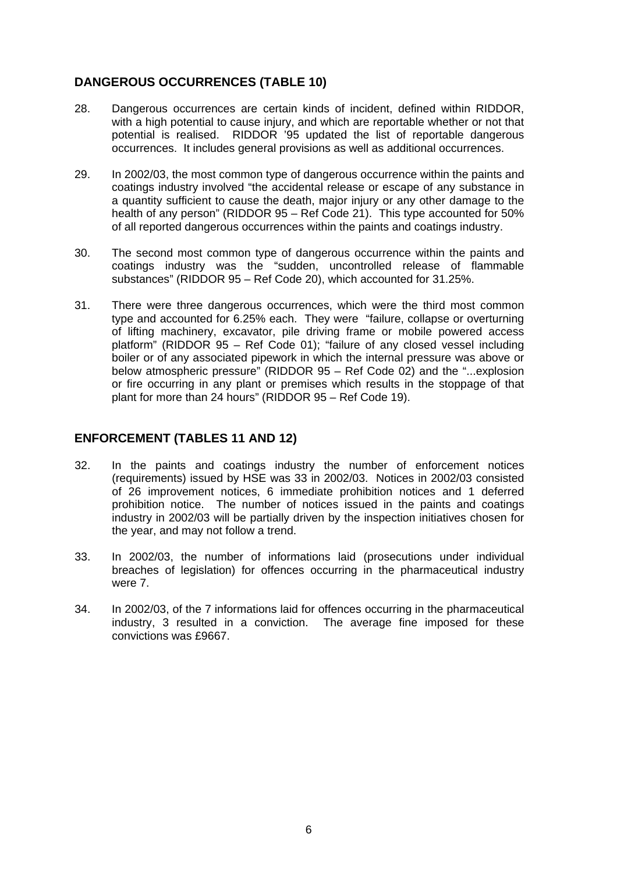# <span id="page-6-0"></span>**DANGEROUS OCCURRENCES (TABLE 10)**

- 28. Dangerous occurrences are certain kinds of incident, defined within RIDDOR, with a high potential to cause injury, and which are reportable whether or not that potential is realised. RIDDOR '95 updated the list of reportable dangerous occurrences. It includes general provisions as well as additional occurrences.
- 29. In 2002/03, the most common type of dangerous occurrence within the paints and coatings industry involved "the accidental release or escape of any substance in a quantity sufficient to cause the death, major injury or any other damage to the health of any person" (RIDDOR 95 – Ref Code 21). This type accounted for 50% of all reported dangerous occurrences within the paints and coatings industry.
- 30. The second most common type of dangerous occurrence within the paints and coatings industry was the "sudden, uncontrolled release of flammable substances" (RIDDOR 95 – Ref Code 20), which accounted for 31.25%.
- 31. There were three dangerous occurrences, which were the third most common type and accounted for 6.25% each. They were "failure, collapse or overturning of lifting machinery, excavator, pile driving frame or mobile powered access platform" (RIDDOR 95 – Ref Code 01); "failure of any closed vessel including boiler or of any associated pipework in which the internal pressure was above or below atmospheric pressure" (RIDDOR 95 – Ref Code 02) and the "...explosion or fire occurring in any plant or premises which results in the stoppage of that plant for more than 24 hours" (RIDDOR 95 – Ref Code 19).

#### **ENFORCEMENT (TABLES 11 AND 12)**

- 32. In the paints and coatings industry the number of enforcement notices (requirements) issued by HSE was 33 in 2002/03. Notices in 2002/03 consisted of 26 improvement notices, 6 immediate prohibition notices and 1 deferred prohibition notice. The number of notices issued in the paints and coatings industry in 2002/03 will be partially driven by the inspection initiatives chosen for the year, and may not follow a trend.
- 33. In 2002/03, the number of informations laid (prosecutions under individual breaches of legislation) for offences occurring in the pharmaceutical industry were 7.
- 34. In 2002/03, of the 7 informations laid for offences occurring in the pharmaceutical industry, 3 resulted in a conviction. The average fine imposed for these convictions was £9667.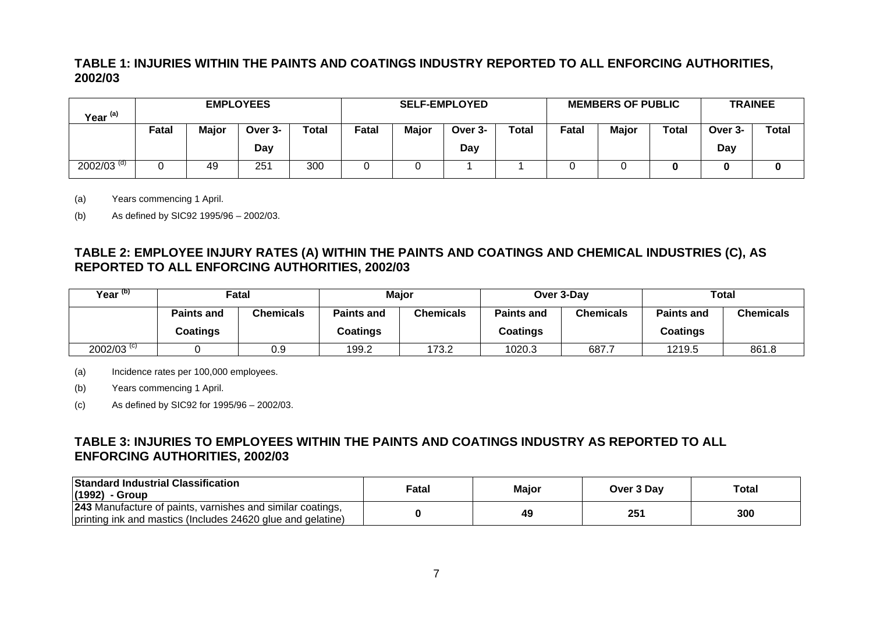# **TABLE 1: INJURIES WITHIN THE PAINTS AND COATINGS INDUSTRY REPORTED TO ALL ENFORCING AUTHORITIES, 2002/03**

| Year <sup>(a)</sup>      | <b>EMPLOYEES</b>                                 |    |     |     | <b>SELF-EMPLOYED</b>               |  |     |       |       | <b>MEMBERS OF PUBLIC</b> | <b>TRAINEE</b> |              |  |
|--------------------------|--------------------------------------------------|----|-----|-----|------------------------------------|--|-----|-------|-------|--------------------------|----------------|--------------|--|
|                          | Major<br><b>Total</b><br>Fatal<br>Over 3-<br>Day |    |     |     | Total<br>Major<br>Fatal<br>Over 3- |  |     | Fatal | Major | <b>Total</b>             | Over 3-<br>Day | <b>Total</b> |  |
|                          |                                                  |    |     |     |                                    |  | Day |       |       |                          |                |              |  |
| $2002/03$ <sup>(d)</sup> |                                                  | 49 | 251 | 300 |                                    |  |     |       |       |                          |                |              |  |

(a) Years commencing 1 April.

(b) As defined by SIC92 1995/96 – 2002/03.

## **TABLE 2: EMPLOYEE INJURY RATES (A) WITHIN THE PAINTS AND COATINGS AND CHEMICAL INDUSTRIES (C), AS REPORTED TO ALL ENFORCING AUTHORITIES, 2002/03**

| Year <sup>(b)</sup>      |                               | Fatal     |                                            | Major |                               | Over 3-Day | Total                         |                  |  |
|--------------------------|-------------------------------|-----------|--------------------------------------------|-------|-------------------------------|------------|-------------------------------|------------------|--|
|                          | <b>Paints and</b><br>Coatings | Chemicals | <b>Paints and</b><br>Chemicals<br>Coatings |       | <b>Paints and</b><br>Coatings | Chemicals  | <b>Paints and</b><br>Coatings | <b>Chemicals</b> |  |
| $2002/03$ <sup>(c)</sup> |                               | 0.9       | 199.2                                      | 173.2 | 1020.3<br>687.7               |            | 1219.5                        | 861.8            |  |

(a) Incidence rates per 100,000 employees.

(b) Years commencing 1 April.

(c) As defined by SIC92 for 1995/96 – 2002/03.

# **TABLE 3: INJURIES TO EMPLOYEES WITHIN THE PAINTS AND COATINGS INDUSTRY AS REPORTED TO ALL ENFORCING AUTHORITIES, 2002/03**

<span id="page-7-0"></span>

| <b>Standard Industrial Classification</b><br>(1992) - Group                                                                      | ∓atal | Maior | Over 3 Dav | <b>Total</b> |
|----------------------------------------------------------------------------------------------------------------------------------|-------|-------|------------|--------------|
| <b>243</b> Manufacture of paints, varnishes and similar coatings,<br>printing ink and mastics (Includes 24620 glue and gelatine) |       | 49    | 251        | 300          |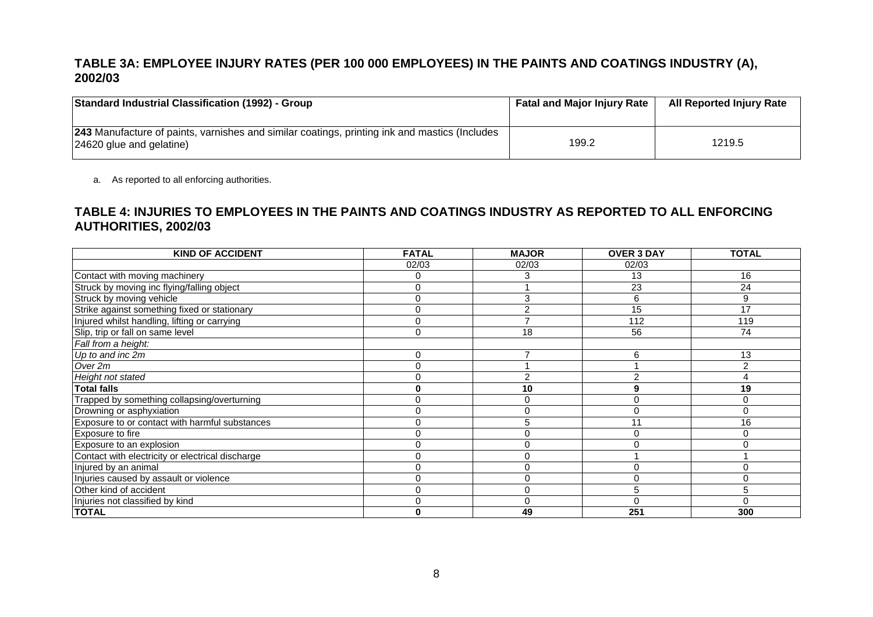# **TABLE 3A: EMPLOYEE INJURY RATES (PER 100 000 EMPLOYEES) IN THE PAINTS AND COATINGS INDUSTRY (A), 2002/03**

| <b>Standard Industrial Classification (1992) - Group</b>                                                                         | <b>Fatal and Major Injury Rate</b> | <b>All Reported Injury Rate</b> |
|----------------------------------------------------------------------------------------------------------------------------------|------------------------------------|---------------------------------|
| <b>243</b> Manufacture of paints, varnishes and similar coatings, printing ink and mastics (Includes<br>24620 glue and gelatine) | 199.2                              | 1219.5                          |

a. As reported to all enforcing authorities.

## **TABLE 4: INJURIES TO EMPLOYEES IN THE PAINTS AND COATINGS INDUSTRY AS REPORTED TO ALL ENFORCING AUTHORITIES, 2002/03**

<span id="page-8-0"></span>

| <b>KIND OF ACCIDENT</b>                          | <b>FATAL</b> | <b>MAJOR</b> | <b>OVER 3 DAY</b> | <b>TOTAL</b> |
|--------------------------------------------------|--------------|--------------|-------------------|--------------|
|                                                  | 02/03        | 02/03        | 02/03             |              |
| Contact with moving machinery                    |              |              | 13                | 16           |
| Struck by moving inc flying/falling object       |              |              | 23                | 24           |
| Struck by moving vehicle                         | C            | 3            | 6                 | 9            |
| Strike against something fixed or stationary     |              |              | $\overline{15}$   | 17           |
| Injured whilst handling, lifting or carrying     |              |              | 112               | 119          |
| Slip, trip or fall on same level                 |              | 18           | 56                | 74           |
| Fall from a height:                              |              |              |                   |              |
| Up to and inc 2m                                 |              |              | 6                 | 13           |
| Over 2m                                          |              |              |                   |              |
| Height not stated                                |              | 2            |                   |              |
| <b>Total falls</b>                               |              | 10           | 9                 | 19           |
| Trapped by something collapsing/overturning      |              |              |                   |              |
| Drowning or asphyxiation                         |              | 0            |                   |              |
| Exposure to or contact with harmful substances   |              |              | 11                | 16           |
| Exposure to fire                                 |              |              |                   |              |
| Exposure to an explosion                         |              | ∩            |                   |              |
| Contact with electricity or electrical discharge |              |              |                   |              |
| Injured by an animal                             |              |              |                   |              |
| Injuries caused by assault or violence           |              | 0            |                   |              |
| Other kind of accident                           |              | $\Omega$     | 5                 |              |
| Injuries not classified by kind                  |              | O            |                   |              |
| <b>TOTAL</b>                                     |              | 49           | 251               | 300          |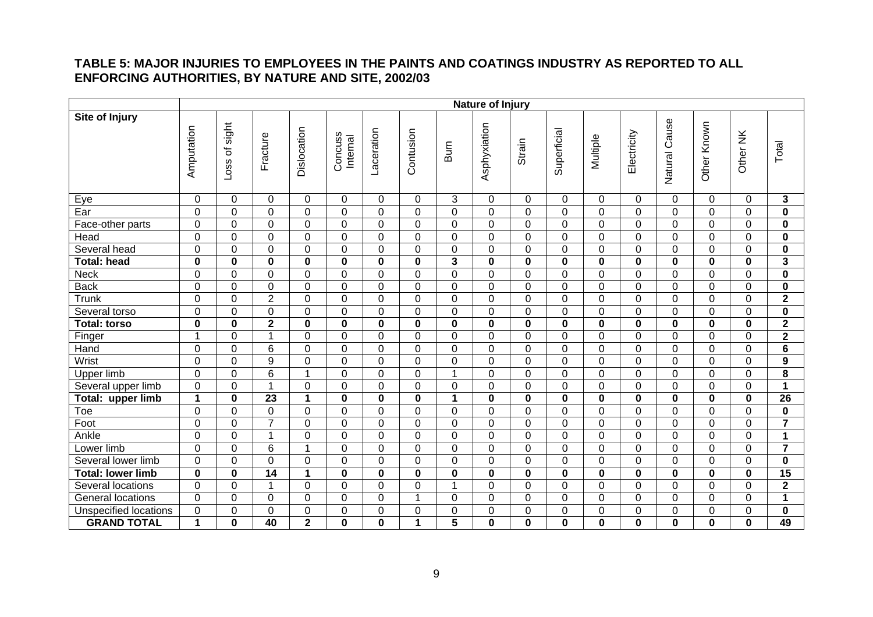### **TABLE 5: MAJOR INJURIES TO EMPLOYEES IN THE PAINTS AND COATINGS INDUSTRY AS REPORTED TO ALL ENFORCING AUTHORITIES, BY NATURE AND SITE, 2002/03**

<span id="page-9-0"></span>

|                              |                  | Nature of Injury   |                  |                |                     |                |                      |                         |              |                  |                  |                |                |                |                |             |                         |
|------------------------------|------------------|--------------------|------------------|----------------|---------------------|----------------|----------------------|-------------------------|--------------|------------------|------------------|----------------|----------------|----------------|----------------|-------------|-------------------------|
| <b>Site of Injury</b>        | Amputation       | sight<br>৳<br>Loss | Fracture         | Dislocation    | Concuss<br>Internal | Laceration     | Contusion            | Burn                    | Asphyxiation | Strain           | Superficial      | Multiple       | Electricity    | Natural Cause  | Other Known    | Other NK    | Total                   |
|                              | $\mathbf 0$      | $\mathbf 0$        | $\mathbf 0$      | $\mathbf 0$    | 0                   | $\mathbf 0$    | $\Omega$             | 3                       | $\mathbf 0$  | 0                | $\mathbf 0$      | 0              | $\Omega$       | $\mathbf{0}$   | $\Omega$       | $\Omega$    | $\mathbf 3$             |
| Eye<br>Ear                   | 0                | $\mathbf 0$        | $\mathbf 0$      | $\overline{0}$ | $\overline{0}$      | $\mathbf{0}$   | $\Omega$             | $\mathbf 0$             | $\mathbf 0$  | $\mathbf 0$      | $\mathbf 0$      | $\overline{0}$ | $\mathbf 0$    | $\Omega$       | $\Omega$       | $\Omega$    | $\mathbf 0$             |
| Face-other parts             | $\boldsymbol{0}$ | $\mathbf 0$        | $\boldsymbol{0}$ | $\mathbf 0$    | 0                   | $\mathbf 0$    | $\Omega$             | $\mathbf 0$             | $\Omega$     | $\mathbf 0$      | $\pmb{0}$        | 0              | $\mathbf 0$    | $\Omega$       | $\mathbf 0$    | $\Omega$    | $\mathbf 0$             |
| Head                         | 0                | $\Omega$           | $\overline{0}$   | $\mathbf 0$    | $\overline{0}$      | $\Omega$       | $\Omega$             | $\overline{0}$          | $\Omega$     | $\mathbf 0$      | $\mathbf 0$      | 0              | $\Omega$       | $\Omega$       | $\Omega$       | $\Omega$    | $\mathbf 0$             |
| Several head                 | 0                | $\mathbf 0$        | $\mathbf 0$      | $\overline{0}$ | 0                   | $\mathbf 0$    | $\overline{0}$       | $\mathbf 0$             | 0            | $\mathbf 0$      | $\overline{0}$   | $\overline{0}$ | $\mathbf 0$    | $\overline{0}$ | $\overline{0}$ | 0           | $\mathbf 0$             |
| <b>Total: head</b>           | 0                | $\mathbf 0$        | $\mathbf 0$      | $\mathbf 0$    | $\mathbf 0$         | $\mathbf 0$    | $\bf{0}$             | $\overline{\mathbf{3}}$ | 0            | $\mathbf 0$      | $\mathbf 0$      | $\pmb{0}$      | $\mathbf 0$    | $\bf{0}$       | $\mathbf 0$    | $\bf{0}$    | $\mathbf{3}$            |
| <b>Neck</b>                  | 0                | $\mathbf 0$        | $\overline{0}$   | $\overline{0}$ | 0                   | $\mathbf 0$    | $\overline{0}$       | $\overline{0}$          | $\Omega$     | $\overline{0}$   | $\mathbf 0$      | 0              | $\mathbf 0$    | $\overline{0}$ | $\mathbf 0$    | $\Omega$    | $\mathbf 0$             |
| <b>Back</b>                  | 0                | $\Omega$           | 0                | $\mathbf 0$    | 0                   | $\Omega$       | $\Omega$             | $\Omega$                | $\Omega$     | $\Omega$         | 0                | 0              | $\Omega$       | $\Omega$       | $\Omega$       | $\Omega$    | 0                       |
| Trunk                        | $\overline{0}$   | $\Omega$           | $\overline{2}$   | $\mathbf 0$    | 0                   | $\Omega$       | $\Omega$             | $\mathbf 0$             | $\Omega$     | $\overline{0}$   | $\mathbf 0$      | 0              | $\mathbf 0$    | $\Omega$       | $\Omega$       | $\Omega$    | $\mathbf{2}$            |
| Several torso                | 0                | 0                  | $\mathbf 0$      | $\mathbf 0$    | $\mathbf 0$         | $\Omega$       | $\Omega$             | $\overline{0}$          | $\Omega$     | $\mathbf 0$      | $\mathbf 0$      | 0              | $\mathbf 0$    | $\Omega$       | $\Omega$       | $\Omega$    | $\mathbf 0$             |
| <b>Total: torso</b>          | $\mathbf 0$      | $\mathbf 0$        | $\overline{2}$   | $\mathbf 0$    | $\mathbf 0$         | $\bf{0}$       | $\bf{0}$             | $\mathbf 0$             | $\bf{0}$     | $\mathbf 0$      | $\mathbf 0$      | $\mathbf 0$    | $\bf{0}$       | $\bf{0}$       | $\bf{0}$       | $\bf{0}$    | $\overline{2}$          |
| Finger                       | $\mathbf{1}$     | $\mathbf 0$        | $\overline{1}$   | $\mathbf 0$    | 0                   | $\Omega$       | $\Omega$             | $\overline{0}$          | $\mathbf 0$  | $\overline{0}$   | $\overline{0}$   | 0              | $\mathbf 0$    | $\overline{0}$ | $\Omega$       | $\Omega$    | $\mathbf{2}$            |
| Hand                         | 0                | $\mathbf 0$        | 6                | $\mathbf 0$    | $\overline{0}$      | $\Omega$       | $\Omega$             | $\overline{0}$          | $\Omega$     | $\mathbf 0$      | $\mathbf 0$      | 0              | $\mathbf 0$    | $\Omega$       | $\Omega$       | $\Omega$    | $\overline{\mathbf{6}}$ |
| Wrist                        | 0                | $\mathbf 0$        | $\overline{9}$   | $\mathbf 0$    | 0                   | $\Omega$       | $\Omega$             | $\overline{0}$          | $\Omega$     | $\mathbf 0$      | $\mathbf 0$      | $\overline{0}$ | $\overline{0}$ | $\Omega$       | $\Omega$       | $\Omega$    | $\overline{9}$          |
| Upper limb                   | $\mathbf 0$      | $\mathbf 0$        | 6                | $\mathbf 1$    | 0                   | $\Omega$       | $\Omega$             | 1                       | $\Omega$     | $\overline{0}$   | $\mathbf 0$      | 0              | $\Omega$       | $\Omega$       | $\Omega$       | $\Omega$    | 8                       |
| Several upper limb           | $\boldsymbol{0}$ | $\mathbf 0$        | 1                | $\mathbf 0$    | $\mathbf 0$         | $\mathbf 0$    | $\overline{0}$       | $\mathbf 0$             | 0            | $\boldsymbol{0}$ | $\boldsymbol{0}$ | 0              | $\mathbf 0$    | $\overline{0}$ | $\mathbf 0$    | $\mathbf 0$ | $\mathbf{1}$            |
| Total: upper limb            | $\mathbf{1}$     | $\bf{0}$           | 23               | 1              | $\mathbf 0$         | $\bf{0}$       | $\bf{0}$             | $\mathbf 1$             | 0            | $\mathbf 0$      | $\mathbf 0$      | $\bf{0}$       | $\bf{0}$       | $\bf{0}$       | $\bf{0}$       | $\bf{0}$    | 26                      |
| Toe                          | 0                | $\overline{0}$     | $\mathbf 0$      | $\mathbf 0$    | 0                   | $\overline{0}$ | $\Omega$             | $\mathbf 0$             | $\mathbf 0$  | $\mathbf 0$      | $\mathbf 0$      | $\overline{0}$ | $\mathbf 0$    | 0              | $\overline{0}$ | $\Omega$    | $\pmb{0}$               |
| Foot                         | 0                | $\mathbf 0$        | $\overline{7}$   | $\mathbf 0$    | $\mathbf 0$         | $\mathbf 0$    | $\Omega$             | $\overline{0}$          | $\Omega$     | $\mathbf 0$      | $\mathbf 0$      | 0              | $\mathbf 0$    | $\overline{0}$ | $\mathbf 0$    | $\Omega$    | $\overline{7}$          |
| Ankle                        | 0                | $\mathbf 0$        | $\mathbf{1}$     | $\mathbf 0$    | $\overline{0}$      | $\overline{0}$ | $\Omega$             | $\overline{0}$          | $\mathbf 0$  | $\mathbf 0$      | $\mathbf 0$      | $\overline{0}$ | $\overline{0}$ | $\overline{0}$ | $\Omega$       | $\Omega$    | $\mathbf{1}$            |
| Lower limb                   | 0                | $\mathbf 0$        | $6\phantom{1}6$  | $\mathbf{1}$   | 0                   | $\mathbf 0$    | $\Omega$             | $\mathbf 0$             | $\mathbf 0$  | $\overline{0}$   | $\mathbf 0$      | $\overline{0}$ | $\mathbf 0$    | $\overline{0}$ | $\Omega$       | $\Omega$    | $\overline{7}$          |
| Several lower limb           | $\overline{0}$   | $\mathbf 0$        | $\overline{0}$   | $\overline{0}$ | $\overline{0}$      | $\Omega$       | $\Omega$             | $\mathbf 0$             | $\Omega$     | $\overline{0}$   | $\overline{0}$   | 0              | $\mathbf 0$    | $\Omega$       | $\mathbf 0$    | $\mathbf 0$ | $\bf{0}$                |
| <b>Total: lower limb</b>     | $\mathbf 0$      | 0                  | 14               | 1              | $\bf{0}$            | $\bf{0}$       | $\bf{0}$             | $\bf{0}$                | $\bf{0}$     | $\bf{0}$         | $\bf{0}$         | $\mathbf 0$    | $\bf{0}$       | $\bf{0}$       | $\bf{0}$       | $\bf{0}$    | 15                      |
| Several locations            | $\overline{0}$   | $\mathbf 0$        | $\mathbf{1}$     | $\overline{0}$ | 0                   | $\Omega$       | $\Omega$             | $\mathbf 1$             | $\mathbf 0$  | $\overline{0}$   | $\overline{0}$   | $\overline{0}$ | $\overline{0}$ | $\Omega$       | $\Omega$       | $\Omega$    | $\overline{2}$          |
| General locations            | 0                | $\mathbf 0$        | 0                | $\mathbf 0$    | 0                   | $\overline{0}$ | -1                   | $\overline{0}$          | $\mathbf 0$  | $\overline{0}$   | $\mathbf 0$      | 0              | $\mathbf 0$    | $\Omega$       | $\Omega$       | 0           | $\mathbf{1}$            |
| <b>Unspecified locations</b> | 0                | 0                  | $\overline{0}$   | $\mathbf 0$    | 0                   | $\Omega$       | $\Omega$             | $\overline{0}$          | $\Omega$     | 0                | $\mathbf 0$      | 0              | $\mathbf 0$    | $\overline{0}$ | $\Omega$       | $\Omega$    | $\mathbf 0$             |
| <b>GRAND TOTAL</b>           | $\mathbf 1$      | 0                  | 40               | $\overline{2}$ | $\mathbf 0$         | $\bf{0}$       | $\blacktriangleleft$ | 5                       | $\mathbf 0$  | 0                | $\mathbf 0$      | $\mathbf{0}$   | $\bf{0}$       | $\bf{0}$       | $\bf{0}$       | $\bf{0}$    | 49                      |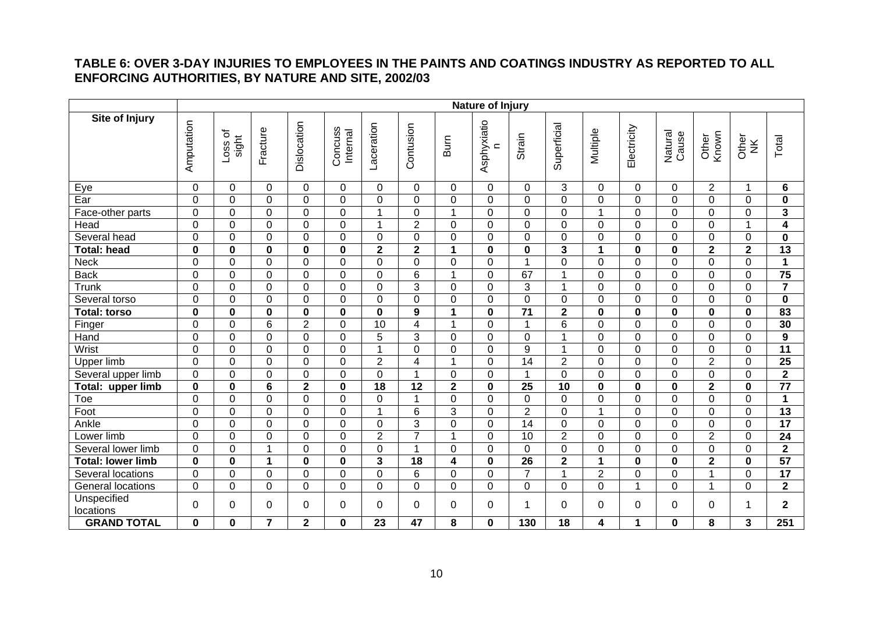## **TABLE 6: OVER 3-DAY INJURIES TO EMPLOYEES IN THE PAINTS AND COATINGS INDUSTRY AS REPORTED TO ALL ENFORCING AUTHORITIES, BY NATURE AND SITE, 2002/03**

<span id="page-10-0"></span>

|                          | Nature of Injury |                    |                |                |                     |                         |                |                         |                          |                  |                         |                |                |                  |                         |                |                         |
|--------------------------|------------------|--------------------|----------------|----------------|---------------------|-------------------------|----------------|-------------------------|--------------------------|------------------|-------------------------|----------------|----------------|------------------|-------------------------|----------------|-------------------------|
| <b>Site of Injury</b>    | Amputation       | đ<br>sight<br>Loss | Fracture       | Dislocation    | Concuss<br>Internal | Laceration              | Contusion      | Bum                     | Asphyxiatio<br>$\subset$ | Strain           | Superficial             | Multiple       | Electricity    | Natural<br>Cause | Other<br>Known          | Other<br>NK    | Total                   |
| Eye                      | $\overline{0}$   | $\Omega$           | $\Omega$       | $\mathbf 0$    | $\Omega$            | $\Omega$                | $\Omega$       | $\Omega$                | $\Omega$                 | $\mathbf{0}$     | 3                       | 0              | $\Omega$       | $\Omega$         | $\overline{2}$          | 1              | 6                       |
| Ear                      | $\mathbf 0$      | $\mathbf 0$        | $\mathbf 0$    | $\overline{0}$ | 0                   | $\mathbf 0$             | $\overline{0}$ | 0                       | $\overline{0}$           | $\overline{0}$   | $\overline{0}$          | $\overline{0}$ | $\overline{0}$ | $\Omega$         | $\overline{0}$          | $\mathbf 0$    | $\mathbf 0$             |
| Face-other parts         | $\overline{0}$   | $\mathbf 0$        | $\mathbf 0$    | $\mathbf 0$    | 0                   | $\overline{1}$          | $\Omega$       | $\mathbf{1}$            | $\Omega$                 | $\mathbf 0$      | $\mathbf 0$             | 1              | $\Omega$       | $\Omega$         | $\Omega$                | $\Omega$       | $\overline{\mathbf{3}}$ |
| Head                     | $\mathbf 0$      | $\mathbf 0$        | $\overline{0}$ | $\overline{0}$ | 0                   | $\overline{1}$          | $\overline{2}$ | 0                       | $\Omega$                 | $\mathbf 0$      | $\mathbf 0$             | 0              | $\mathbf 0$    | $\mathbf 0$      | $\mathbf 0$             |                | $\overline{\mathbf{4}}$ |
| Several head             | $\mathbf 0$      | $\mathbf 0$        | $\mathbf 0$    | $\pmb{0}$      | 0                   | $\Omega$                | $\mathbf 0$    | 0                       | 0                        | $\mathbf 0$      | $\mathbf 0$             | 0              | $\mathbf 0$    | $\Omega$         | $\mathbf 0$             | $\mathbf 0$    | $\mathbf 0$             |
| <b>Total: head</b>       | $\mathbf 0$      | $\mathbf 0$        | $\bf{0}$       | $\mathbf 0$    | 0                   | $\overline{2}$          | $\overline{2}$ | $\mathbf 1$             | 0                        | $\bf{0}$         | $\mathbf 3$             | 1              | $\bf{0}$       | $\bf{0}$         | $\overline{2}$          | $\mathbf{2}$   | 13                      |
| <b>Neck</b>              | $\overline{0}$   | $\overline{0}$     | $\overline{0}$ | $\overline{0}$ | 0                   | 0                       | $\Omega$       | $\Omega$                | 0                        | 1                | $\overline{0}$          | 0              | $\overline{0}$ | $\Omega$         | $\overline{0}$          | $\mathbf 0$    | $\mathbf{1}$            |
| <b>Back</b>              | $\Omega$         | $\overline{0}$     | $\mathbf 0$    | $\overline{0}$ | 0                   | 0                       | 6              | 1                       | $\Omega$                 | 67               | $\mathbf{1}$            | 0              | $\Omega$       | $\Omega$         | $\mathbf 0$             | $\Omega$       | 75                      |
| Trunk                    | $\overline{0}$   | $\Omega$           | $\overline{0}$ | $\overline{0}$ | 0                   | $\overline{0}$          | $\overline{3}$ | $\overline{0}$          | $\Omega$                 | $\overline{3}$   | $\mathbf{1}$            | 0              | $\overline{0}$ | $\Omega$         | $\Omega$                | $\Omega$       | $\overline{7}$          |
| Several torso            | $\overline{0}$   | $\Omega$           | $\overline{0}$ | $\mathbf 0$    | 0                   | $\overline{0}$          | $\Omega$       | $\Omega$                | $\Omega$                 | $\overline{0}$   | $\mathbf 0$             | $\overline{0}$ | $\Omega$       | $\Omega$         | $\Omega$                | $\Omega$       | $\mathbf 0$             |
| <b>Total: torso</b>      | $\mathbf 0$      | $\bf{0}$           | $\mathbf 0$    | $\mathbf 0$    | 0                   | $\bf{0}$                | 9              | $\mathbf 1$             | $\bf{0}$                 | $\overline{71}$  | $\overline{2}$          | $\mathbf 0$    | $\bf{0}$       | $\bf{0}$         | $\bf{0}$                | $\bf{0}$       | $\overline{83}$         |
| Finger                   | $\mathbf 0$      | $\mathbf 0$        | 6              | $\overline{2}$ | $\Omega$            | 10                      | $\overline{4}$ | 1                       | $\Omega$                 | 1                | $6\phantom{1}6$         | 0              | $\Omega$       | $\Omega$         | $\Omega$                | $\Omega$       | 30                      |
| Hand                     | $\overline{0}$   | $\mathbf 0$        | $\overline{0}$ | $\mathbf 0$    | 0                   | $\overline{5}$          | 3              | $\Omega$                | $\Omega$                 | $\overline{0}$   | $\overline{1}$          | $\overline{0}$ | $\Omega$       | $\Omega$         | $\Omega$                | $\Omega$       | $\overline{9}$          |
| Wrist                    | $\Omega$         | $\overline{0}$     | $\mathbf 0$    | $\mathbf 0$    | 0                   | $\overline{1}$          | $\Omega$       | $\Omega$                | $\Omega$                 | $\boldsymbol{9}$ | $\mathbf{1}$            | 0              | $\Omega$       | $\Omega$         | $\Omega$                | $\Omega$       | $\overline{11}$         |
| <b>Upper limb</b>        | $\Omega$         | $\Omega$           | $\overline{0}$ | $\mathbf 0$    | 0                   | $\overline{2}$          | 4              | $\mathbf{1}$            | $\Omega$                 | $\overline{14}$  | $\overline{2}$          | 0              | $\Omega$       | $\Omega$         | $\overline{2}$          | $\Omega$       | $\overline{25}$         |
| Several upper limb       | $\overline{0}$   | $\overline{0}$     | $\overline{0}$ | $\mathbf 0$    | 0                   | $\overline{0}$          | $\overline{1}$ | 0                       | $\Omega$                 | 1                | $\overline{0}$          | $\overline{0}$ | $\Omega$       | $\Omega$         | $\Omega$                | $\Omega$       | $\overline{2}$          |
| Total: upper limb        | $\bf{0}$         | $\bf{0}$           | $6\phantom{1}$ | $\mathbf{2}$   | 0                   | 18                      | 12             | $\mathbf 2$             | $\mathbf 0$              | 25               | 10                      | $\mathbf{0}$   | $\mathbf 0$    | $\bf{0}$         | $\overline{\mathbf{2}}$ | $\bf{0}$       | $\overline{77}$         |
| Toe                      | 0                | $\mathbf 0$        | $\mathbf 0$    | $\mathbf 0$    | 0                   | 0                       |                | 0                       | 0                        | $\mathbf 0$      | $\mathbf 0$             | 0              | $\mathbf 0$    | $\mathbf 0$      | $\mathbf 0$             | $\mathbf 0$    | $\mathbf 1$             |
| Foot                     | $\mathbf 0$      | $\mathbf 0$        | $\mathbf 0$    | $\pmb{0}$      | $\Omega$            | 1                       | 6              | 3                       | $\Omega$                 | $\overline{2}$   | $\mathbf 0$             | 1              | $\Omega$       | $\Omega$         | $\Omega$                | $\Omega$       | 13                      |
| Ankle                    | $\overline{0}$   | $\Omega$           | $\overline{0}$ | $\mathbf 0$    | $\mathbf{0}$        | 0                       | 3              | $\Omega$                | $\Omega$                 | 14               | $\mathbf 0$             | 0              | $\Omega$       | $\Omega$         | $\Omega$                | $\Omega$       | $\overline{17}$         |
| Lower limb               | 0                | $\mathbf 0$        | $\overline{0}$ | $\mathbf 0$    | 0                   | $\overline{2}$          | $\overline{7}$ | 1                       | 0                        | 10               | $\overline{2}$          | 0              | $\mathbf 0$    | $\Omega$         | $\overline{2}$          | $\mathbf 0$    | 24                      |
| Several lower limb       | $\Omega$         | $\Omega$           | $\overline{1}$ | $\mathbf 0$    | $\mathbf{0}$        | $\overline{0}$          | 1              | $\Omega$                | $\Omega$                 | $\Omega$         | $\mathbf 0$             | $\overline{0}$ | $\Omega$       | $\Omega$         | $\Omega$                | $\Omega$       | $\overline{2}$          |
| <b>Total: lower limb</b> | $\mathbf 0$      | $\mathbf 0$        | 1              | $\mathbf 0$    | $\mathbf 0$         | $\overline{\mathbf{3}}$ | 18             | $\overline{\mathbf{4}}$ | $\mathbf{0}$             | $\overline{26}$  | $\overline{\mathbf{2}}$ | 1              | $\bf{0}$       | $\bf{0}$         | $\overline{2}$          | $\mathbf{0}$   | 57                      |
| Several locations        | $\mathbf 0$      | $\mathbf 0$        | $\overline{0}$ | $\mathbf 0$    | 0                   | $\Omega$                | 6              | $\Omega$                | $\Omega$                 | $\overline{7}$   | $\mathbf{1}$            | $\overline{2}$ | $\Omega$       | $\Omega$         | $\overline{\mathbf{A}}$ | $\Omega$       | 17                      |
| <b>General locations</b> | $\overline{0}$   | $\overline{0}$     | $\mathbf 0$    | $\mathbf 0$    | 0                   | 0                       | $\Omega$       | $\overline{0}$          | $\overline{0}$           | $\overline{0}$   | $\mathbf 0$             | 0              | $\overline{1}$ | $\Omega$         | 1                       | $\mathbf 0$    | $\mathbf{2}$            |
| Unspecified<br>locations | 0                | $\Omega$           | $\mathbf 0$    | $\mathbf 0$    | $\Omega$            | $\Omega$                | $\Omega$       | $\Omega$                | 0                        | 1                | $\mathbf 0$             | 0              | $\Omega$       | $\Omega$         | $\Omega$                | 1              | $\mathbf{2}$            |
| <b>GRAND TOTAL</b>       | 0                | $\mathbf 0$        | $\overline{7}$ | $\overline{2}$ | 0                   | 23                      | 47             | 8                       | 0                        | 130              | 18                      | 4              | 1              | $\mathbf 0$      | 8                       | $\overline{3}$ | 251                     |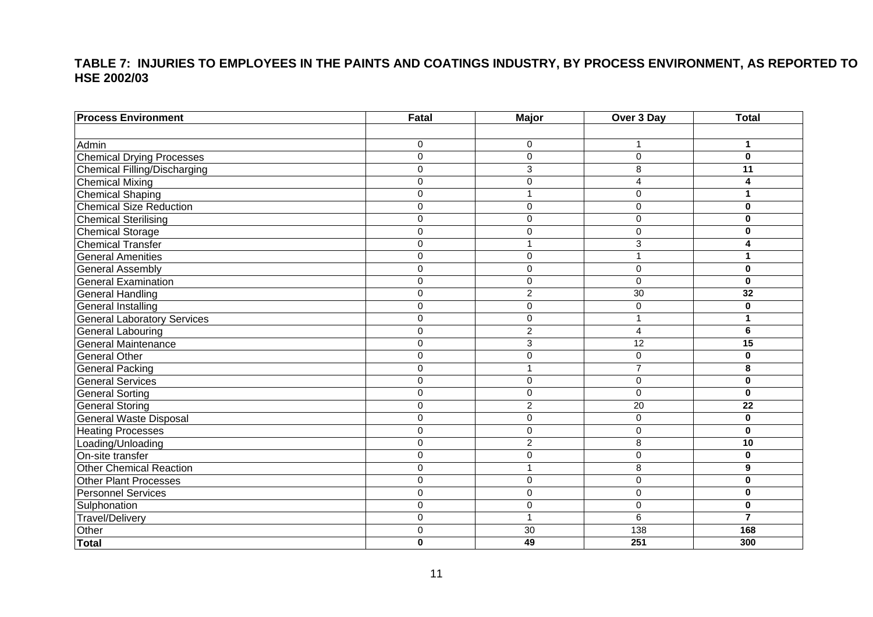# **TABLE 7: INJURIES TO EMPLOYEES IN THE PAINTS AND COATINGS INDUSTRY, BY PROCESS ENVIRONMENT, AS REPORTED TO HSE 2002/03**

<span id="page-11-0"></span>

| <b>Process Environment</b>          | Fatal          | Major          | Over 3 Day      | <b>Total</b>   |
|-------------------------------------|----------------|----------------|-----------------|----------------|
|                                     |                |                |                 |                |
| Admin                               | 0              | $\mathbf 0$    |                 | 1              |
| <b>Chemical Drying Processes</b>    | 0              | $\mathbf 0$    | $\mathbf 0$     | $\mathbf 0$    |
| <b>Chemical Filling/Discharging</b> | 0              | $\overline{3}$ | $\overline{8}$  | 11             |
| <b>Chemical Mixing</b>              | $\Omega$       | $\mathbf 0$    | 4               | 4              |
| <b>Chemical Shaping</b>             | 0              | 1              | $\Omega$        | 1              |
| <b>Chemical Size Reduction</b>      | $\Omega$       | $\Omega$       | $\Omega$        | $\bf{0}$       |
| <b>Chemical Sterilising</b>         | 0              | $\mathbf 0$    | 0               | $\bf{0}$       |
| <b>Chemical Storage</b>             | 0              | $\mathbf 0$    | $\Omega$        | $\bf{0}$       |
| <b>Chemical Transfer</b>            | 0              | 1              | 3               | 4              |
| <b>General Amenities</b>            | 0              | $\mathbf 0$    |                 | 1              |
| <b>General Assembly</b>             | 0              | $\mathbf 0$    | 0               | $\bf{0}$       |
| <b>General Examination</b>          | $\overline{0}$ | $\mathbf 0$    | $\Omega$        | $\bf{0}$       |
| <b>General Handling</b>             | $\Omega$       | $\overline{2}$ | $\overline{30}$ | 32             |
| <b>General Installing</b>           | $\Omega$       | $\Omega$       | $\Omega$        | 0              |
| <b>General Laboratory Services</b>  | 0              | $\mathbf 0$    |                 | 1              |
| <b>General Labouring</b>            | 0              | $\overline{2}$ | 4               | 6              |
| <b>General Maintenance</b>          | 0              | 3              | $\overline{12}$ | 15             |
| <b>General Other</b>                | 0              | $\mathbf 0$    | $\overline{0}$  | $\bf{0}$       |
| <b>General Packing</b>              | 0              | 1              | $\overline{7}$  | 8              |
| <b>General Services</b>             | 0              | $\mathbf 0$    | 0               | $\bf{0}$       |
| <b>General Sorting</b>              | $\Omega$       | $\mathbf 0$    | $\Omega$        | 0              |
| <b>General Storing</b>              | 0              | $\overline{2}$ | 20              | 22             |
| <b>General Waste Disposal</b>       | 0              | $\mathbf 0$    | $\mathbf 0$     | $\bf{0}$       |
| <b>Heating Processes</b>            | 0              | $\mathbf 0$    | 0               | $\mathbf 0$    |
| Loading/Unloading                   | $\Omega$       | $\overline{c}$ | 8               | 10             |
| On-site transfer                    | 0              | $\Omega$       | $\Omega$        | $\bf{0}$       |
| <b>Other Chemical Reaction</b>      | $\overline{0}$ | 1              | $\overline{8}$  | 9              |
| <b>Other Plant Processes</b>        | 0              | $\mathbf 0$    | 0               | $\bf{0}$       |
| <b>Personnel Services</b>           | 0              | $\mathbf 0$    | $\mathbf 0$     | 0              |
| Sulphonation                        | 0              | $\mathbf 0$    | $\mathbf 0$     | $\bf{0}$       |
| <b>Travel/Delivery</b>              | 0              | $\overline{1}$ | $\overline{6}$  | $\overline{7}$ |
| Other                               | 0              | 30             | 138             | 168            |
| <b>Total</b>                        | $\mathbf{0}$   | 49             | 251             | 300            |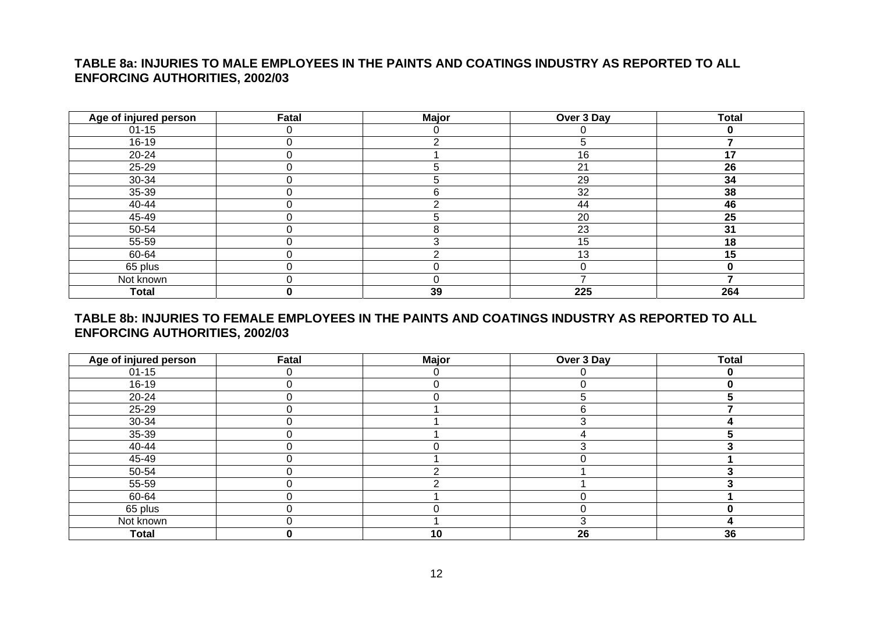## **TABLE 8a: INJURIES TO MALE EMPLOYEES IN THE PAINTS AND COATINGS INDUSTRY AS REPORTED TO ALL ENFORCING AUTHORITIES, 2002/03**

| Age of injured person | Fatal    | <b>Major</b> | Over 3 Day | <b>Total</b> |
|-----------------------|----------|--------------|------------|--------------|
| $01 - 15$             | 0        |              |            | 0            |
| $16 - 19$             |          |              | 5          |              |
| $20 - 24$             |          |              | 16         | 17           |
| 25-29                 |          |              | 21         | 26           |
| 30-34                 | 0        |              | 29         | 34           |
| 35-39                 | 0        |              | 32         | 38           |
| 40-44                 | $\Omega$ |              | 44         | 46           |
| 45-49                 | በ        |              | 20         | 25           |
| 50-54                 | 0        |              | 23         | 31           |
| 55-59                 | 0        |              | 15         | 18           |
| 60-64                 | 0        |              | 13         | 15           |
| 65 plus               | 0        |              | $\Omega$   | 0            |
| Not known             | 0        |              |            |              |
| <b>Total</b>          |          | 39           | 225        | 264          |

### **TABLE 8b: INJURIES TO FEMALE EMPLOYEES IN THE PAINTS AND COATINGS INDUSTRY AS REPORTED TO ALL ENFORCING AUTHORITIES, 2002/03**

<span id="page-12-0"></span>

| Age of injured person | Fatal | <b>Major</b> | Over 3 Day | <b>Total</b> |
|-----------------------|-------|--------------|------------|--------------|
| $01 - 15$             |       |              |            |              |
| $16-19$               |       |              |            |              |
| $20 - 24$             |       |              |            |              |
| 25-29                 |       |              | 6          |              |
| 30-34                 |       |              |            |              |
| 35-39                 |       |              |            |              |
| 40-44                 |       |              |            |              |
| 45-49                 |       |              |            |              |
| 50-54                 |       |              |            |              |
| 55-59                 |       |              |            |              |
| 60-64                 |       |              |            |              |
| 65 plus               |       |              | U          |              |
| Not known             |       |              | З          |              |
| <b>Total</b>          | 0     | 10           | 26         | 36           |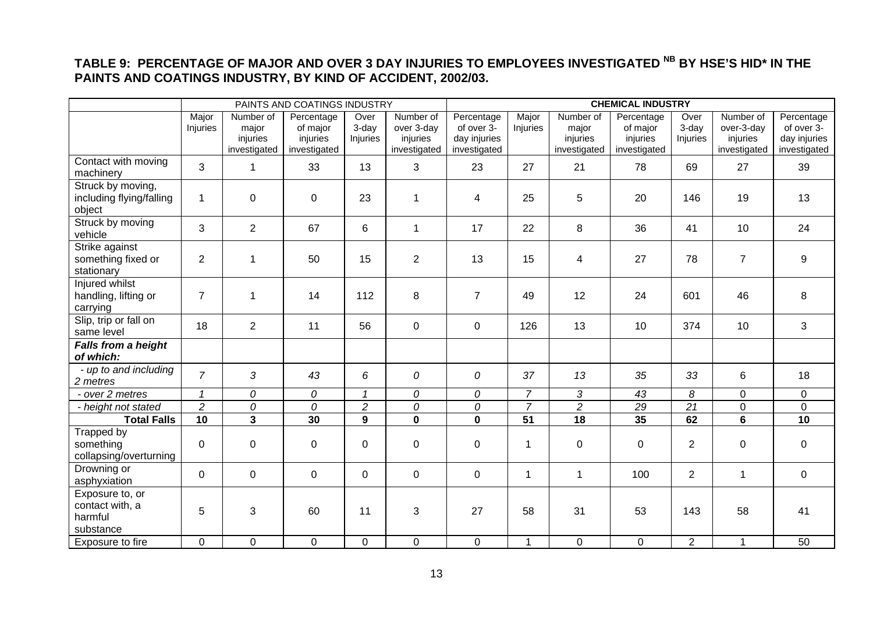## **TABLE 9: PERCENTAGE OF MAJOR AND OVER 3 DAY INJURIES TO EMPLOYEES INVESTIGATED NB BY HSE'S HID\* IN THE PAINTS AND COATINGS INDUSTRY, BY KIND OF ACCIDENT, 2002/03.**

<span id="page-13-0"></span>

|                                                            |                   |                                                | PAINTS AND COATINGS INDUSTRY                       |                             |                                                     | <b>CHEMICAL INDUSTRY</b>                                 |                   |                                                |                                                    |                           |                                                     |                                                          |
|------------------------------------------------------------|-------------------|------------------------------------------------|----------------------------------------------------|-----------------------------|-----------------------------------------------------|----------------------------------------------------------|-------------------|------------------------------------------------|----------------------------------------------------|---------------------------|-----------------------------------------------------|----------------------------------------------------------|
|                                                            | Major<br>Injuries | Number of<br>major<br>injuries<br>investigated | Percentage<br>of major<br>injuries<br>investigated | Over<br>$3-day$<br>Injuries | Number of<br>over 3-day<br>injuries<br>investigated | Percentage<br>of over 3-<br>day injuries<br>investigated | Major<br>Injuries | Number of<br>major<br>injuries<br>investigated | Percentage<br>of major<br>injuries<br>investigated | Over<br>3-day<br>Injuries | Number of<br>over-3-day<br>injuries<br>investigated | Percentage<br>of over 3-<br>day injuries<br>investigated |
| Contact with moving<br>machinery                           | 3                 | $\mathbf 1$                                    | 33                                                 | 13                          | 3                                                   | 23                                                       | 27                | 21                                             | 78                                                 | 69                        | 27                                                  | 39                                                       |
| Struck by moving,<br>including flying/falling<br>object    | 1                 | 0                                              | $\mathbf 0$                                        | 23                          | 1                                                   | $\overline{4}$                                           | 25                | $\overline{5}$                                 | 20                                                 | 146                       | 19                                                  | 13                                                       |
| Struck by moving<br>vehicle                                | 3                 | $\overline{2}$                                 | 67                                                 | 6                           | $\mathbf 1$                                         | 17                                                       | 22                | 8                                              | 36                                                 | 41                        | 10                                                  | 24                                                       |
| Strike against<br>something fixed or<br>stationary         | $\overline{2}$    | 1                                              | 50                                                 | 15                          | $\overline{2}$                                      | 13                                                       | 15                | $\overline{4}$                                 | 27                                                 | 78                        | $\overline{7}$                                      | 9                                                        |
| Injured whilst<br>handling, lifting or<br>carrying         | $\overline{7}$    | 1                                              | 14                                                 | 112                         | 8                                                   | $\overline{7}$                                           | 49                | 12                                             | 24                                                 | 601                       | 46                                                  | 8                                                        |
| Slip, trip or fall on<br>same level                        | 18                | $\overline{2}$                                 | 11                                                 | 56                          | $\mathbf 0$                                         | $\mathbf 0$                                              | 126               | 13                                             | 10                                                 | 374                       | 10                                                  | 3                                                        |
| <b>Falls from a height</b><br>of which:                    |                   |                                                |                                                    |                             |                                                     |                                                          |                   |                                                |                                                    |                           |                                                     |                                                          |
| - up to and including<br>2 metres                          | $\overline{7}$    | 3                                              | 43                                                 | 6                           | 0                                                   | 0                                                        | 37                | 13                                             | 35                                                 | 33                        | 6                                                   | 18                                                       |
| - over 2 metres                                            | $\mathcal I$      | 0                                              | 0                                                  | $\mathbf{1}$                | 0                                                   | 0                                                        | $\overline{7}$    | 3                                              | 43                                                 | 8                         | $\mathbf 0$                                         | $\mathbf 0$                                              |
| - height not stated                                        | $\overline{2}$    | 0                                              | 0                                                  | $\overline{a}$              | 0                                                   | 0                                                        | $\overline{7}$    | $\overline{a}$                                 | 29                                                 | 21                        | $\mathbf 0$                                         | $\mathbf 0$                                              |
| <b>Total Falls</b>                                         | 10                | $\overline{\mathbf{3}}$                        | 30                                                 | $\overline{9}$              | $\overline{\mathbf{0}}$                             | $\mathbf{0}$                                             | $\overline{51}$   | $\overline{18}$                                | 35                                                 | 62                        | $\overline{\mathbf{6}}$                             | 10                                                       |
| Trapped by<br>something<br>collapsing/overturning          | 0                 | 0                                              | 0                                                  | 0                           | 0                                                   | $\mathbf 0$                                              | 1                 | $\mathbf 0$                                    | $\mathbf 0$                                        | $\overline{2}$            | $\pmb{0}$                                           | $\mathbf 0$                                              |
| Drowning or<br>asphyxiation                                | $\Omega$          | $\mathbf 0$                                    | $\Omega$                                           | $\Omega$                    | $\mathbf 0$                                         | $\mathbf 0$                                              | 1                 | $\mathbf{1}$                                   | 100                                                | $\overline{2}$            | $\mathbf{1}$                                        | $\mathbf 0$                                              |
| Exposure to, or<br>contact with, a<br>harmful<br>substance | 5                 | 3                                              | 60                                                 | 11                          | 3                                                   | 27                                                       | 58                | 31                                             | 53                                                 | 143                       | 58                                                  | 41                                                       |
| Exposure to fire                                           | 0                 | 0                                              | $\mathbf 0$                                        | $\mathbf 0$                 | 0                                                   | 0                                                        | $\mathbf{1}$      | $\mathbf 0$                                    | $\mathbf 0$                                        | $\overline{2}$            | $\mathbf{1}$                                        | 50                                                       |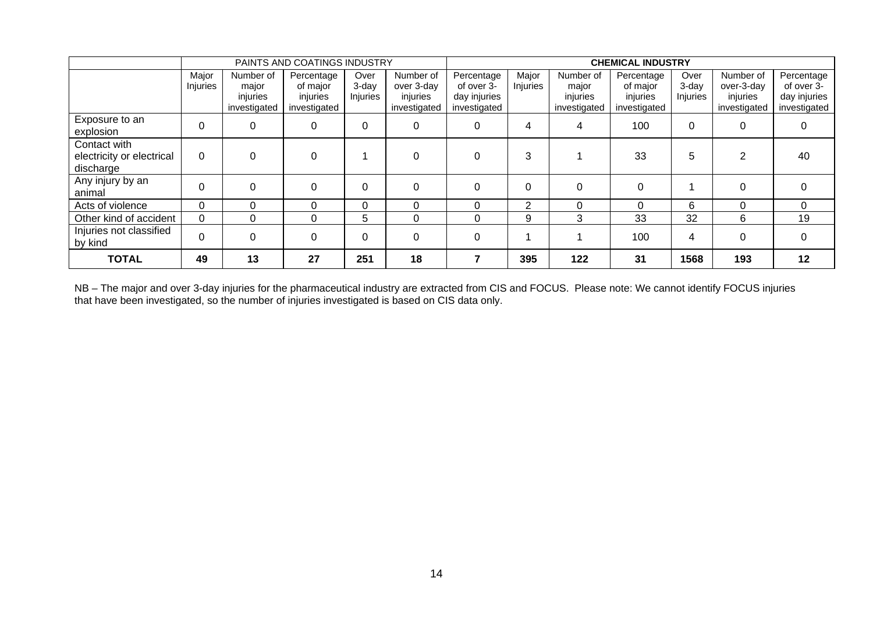|                                                        | PAINTS AND COATINGS INDUSTRY |                                                |                                                    |                              | <b>CHEMICAL INDUSTRY</b>                            |                                                          |                   |                                                |                                                    |                           |                                                     |                                                          |
|--------------------------------------------------------|------------------------------|------------------------------------------------|----------------------------------------------------|------------------------------|-----------------------------------------------------|----------------------------------------------------------|-------------------|------------------------------------------------|----------------------------------------------------|---------------------------|-----------------------------------------------------|----------------------------------------------------------|
|                                                        | Major<br>Injuries            | Number of<br>major<br>injuries<br>investigated | Percentage<br>of major<br>injuries<br>investigated | Over<br>$3$ -day<br>Injuries | Number of<br>over 3-day<br>injuries<br>investigated | Percentage<br>of over 3-<br>day injuries<br>investigated | Major<br>Injuries | Number of<br>major<br>injuries<br>investigated | Percentage<br>of major<br>injuries<br>investigated | Over<br>3-day<br>Injuries | Number of<br>over-3-day<br>injuries<br>investigated | Percentage<br>of over 3-<br>day injuries<br>investigated |
| Exposure to an<br>explosion                            | 0                            | 0                                              | 0                                                  |                              | 0                                                   | $\mathbf{0}$                                             | 4                 | 4                                              | 100                                                | $\Omega$                  | 0                                                   | 0                                                        |
| Contact with<br>electricity or electrical<br>discharge | $\Omega$                     | 0                                              |                                                    |                              |                                                     | 0                                                        | 3                 |                                                | 33                                                 | 5                         | $\overline{2}$                                      | 40                                                       |
| Any injury by an<br>animal                             | $\Omega$                     | $\Omega$                                       | $\Omega$                                           |                              | $\Omega$                                            | $\Omega$                                                 | $\Omega$          | $\Omega$                                       | $\Omega$                                           |                           | $\Omega$                                            | 0                                                        |
| Acts of violence                                       | 0                            | 0                                              | 0                                                  | 0                            | 0                                                   |                                                          | $\overline{2}$    | $\Omega$                                       | $\Omega$                                           | 6                         | $\Omega$                                            | $\Omega$                                                 |
| Other kind of accident                                 | 0                            | 0                                              | 0                                                  | 5                            | 0                                                   | $\Omega$                                                 | 9                 | 3                                              | 33                                                 | 32                        | 6                                                   | 19                                                       |
| Injuries not classified<br>by kind                     | $\Omega$                     | 0                                              | 0                                                  |                              | $\Omega$                                            | $\Omega$                                                 |                   |                                                | 100                                                | 4                         | $\Omega$                                            | 0                                                        |
| <b>TOTAL</b>                                           | 49                           | 13                                             | 27                                                 | 251                          | 18                                                  |                                                          | 395               | 122                                            | 31                                                 | 1568                      | 193                                                 | 12                                                       |

NB – The major and over 3-day injuries for the pharmaceutical industry are extracted from CIS and FOCUS. Please note: We cannot identify FOCUS injuries that have been investigated, so the number of injuries investigated is based on CIS data only.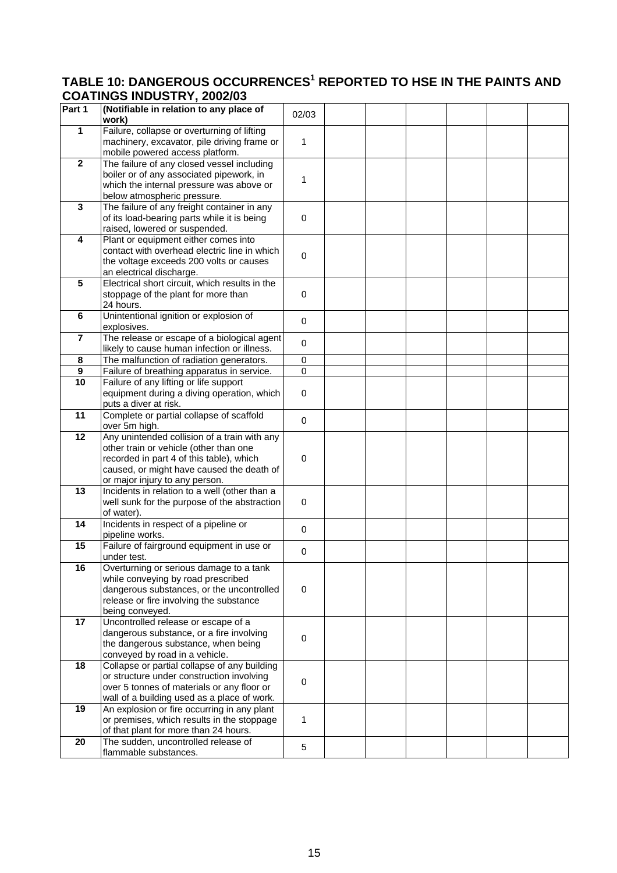### <span id="page-15-0"></span>**TABLE 10: DANGEROUS OCCURRENCES<sup>1</sup> REPORTED TO HSE IN THE PAINTS AND COATINGS INDUSTRY, 2002/03**

|                 | 00ATHO0 IND00THT, 2002/00                                                                  |                |  |  |  |
|-----------------|--------------------------------------------------------------------------------------------|----------------|--|--|--|
| Part 1          | (Notifiable in relation to any place of<br>work)                                           | 02/03          |  |  |  |
| $\mathbf{1}$    | Failure, collapse or overturning of lifting                                                |                |  |  |  |
|                 | machinery, excavator, pile driving frame or                                                | 1              |  |  |  |
|                 | mobile powered access platform.                                                            |                |  |  |  |
| $\overline{2}$  | The failure of any closed vessel including                                                 |                |  |  |  |
|                 | boiler or of any associated pipework, in                                                   | 1              |  |  |  |
|                 | which the internal pressure was above or                                                   |                |  |  |  |
|                 | below atmospheric pressure.                                                                |                |  |  |  |
| 3               | The failure of any freight container in any<br>of its load-bearing parts while it is being | $\mathbf 0$    |  |  |  |
|                 | raised, lowered or suspended.                                                              |                |  |  |  |
| 4               | Plant or equipment either comes into                                                       |                |  |  |  |
|                 | contact with overhead electric line in which                                               |                |  |  |  |
|                 | the voltage exceeds 200 volts or causes                                                    | 0              |  |  |  |
|                 | an electrical discharge.                                                                   |                |  |  |  |
| 5               | Electrical short circuit, which results in the                                             |                |  |  |  |
|                 | stoppage of the plant for more than                                                        | $\mathbf 0$    |  |  |  |
|                 | 24 hours.                                                                                  |                |  |  |  |
| 6               | Unintentional ignition or explosion of<br>explosives.                                      | $\mathbf 0$    |  |  |  |
| $\overline{7}$  | The release or escape of a biological agent                                                |                |  |  |  |
|                 | likely to cause human infection or illness.                                                | 0              |  |  |  |
| 8               | The malfunction of radiation generators.                                                   | $\mathbf 0$    |  |  |  |
| 9               | Failure of breathing apparatus in service.                                                 | $\overline{0}$ |  |  |  |
| 10              | Failure of any lifting or life support                                                     |                |  |  |  |
|                 | equipment during a diving operation, which                                                 | $\mathbf 0$    |  |  |  |
|                 | puts a diver at risk.                                                                      |                |  |  |  |
| $\overline{11}$ | Complete or partial collapse of scaffold                                                   | $\mathbf 0$    |  |  |  |
| 12              | over 5m high.<br>Any unintended collision of a train with any                              |                |  |  |  |
|                 | other train or vehicle (other than one                                                     |                |  |  |  |
|                 | recorded in part 4 of this table), which                                                   | $\mathbf 0$    |  |  |  |
|                 | caused, or might have caused the death of                                                  |                |  |  |  |
|                 | or major injury to any person.                                                             |                |  |  |  |
| 13              | Incidents in relation to a well (other than a                                              |                |  |  |  |
|                 | well sunk for the purpose of the abstraction                                               | $\mathbf 0$    |  |  |  |
|                 | of water).                                                                                 |                |  |  |  |
| 14              | Incidents in respect of a pipeline or<br>pipeline works.                                   | 0              |  |  |  |
| 15              | Failure of fairground equipment in use or                                                  |                |  |  |  |
|                 | under test.                                                                                | 0              |  |  |  |
| $\overline{16}$ | Overturning or serious damage to a tank                                                    |                |  |  |  |
|                 | while conveying by road prescribed                                                         |                |  |  |  |
|                 | dangerous substances, or the uncontrolled                                                  | $\mathbf 0$    |  |  |  |
|                 | release or fire involving the substance                                                    |                |  |  |  |
|                 | being conveyed.                                                                            |                |  |  |  |
| 17              | Uncontrolled release or escape of a<br>dangerous substance, or a fire involving            |                |  |  |  |
|                 | the dangerous substance, when being                                                        | $\mathbf 0$    |  |  |  |
|                 | conveyed by road in a vehicle.                                                             |                |  |  |  |
| 18              | Collapse or partial collapse of any building                                               |                |  |  |  |
|                 | or structure under construction involving                                                  | 0              |  |  |  |
|                 | over 5 tonnes of materials or any floor or                                                 |                |  |  |  |
|                 | wall of a building used as a place of work.                                                |                |  |  |  |
| 19              | An explosion or fire occurring in any plant                                                |                |  |  |  |
|                 | or premises, which results in the stoppage                                                 | 1              |  |  |  |
| 20              | of that plant for more than 24 hours.<br>The sudden, uncontrolled release of               |                |  |  |  |
|                 | flammable substances.                                                                      | 5              |  |  |  |
|                 |                                                                                            |                |  |  |  |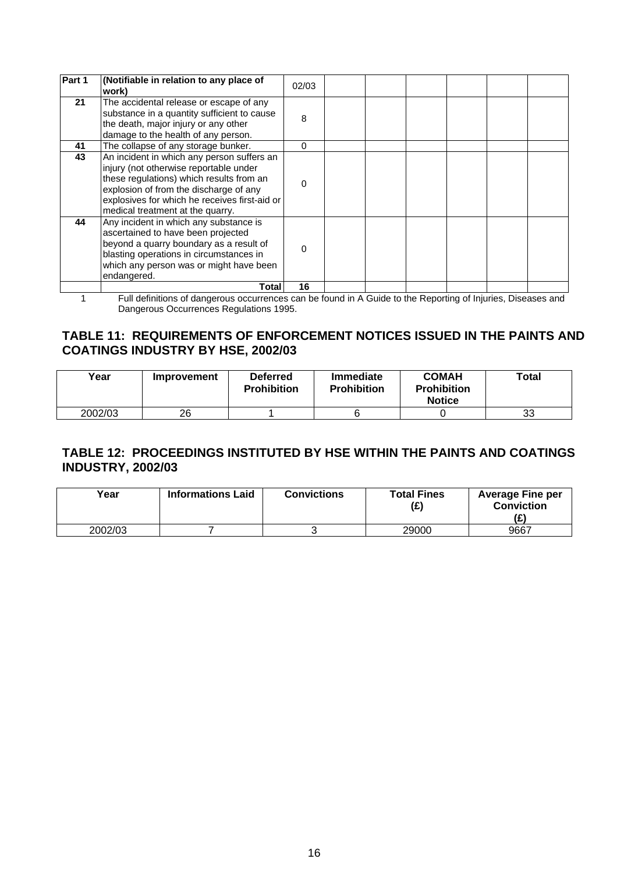<span id="page-16-0"></span>

| Part 1 | (Notifiable in relation to any place of<br>work)                                                                                                                                                                                                                | 02/03 |  |  |  |
|--------|-----------------------------------------------------------------------------------------------------------------------------------------------------------------------------------------------------------------------------------------------------------------|-------|--|--|--|
| 21     | The accidental release or escape of any<br>substance in a quantity sufficient to cause<br>the death, major injury or any other<br>damage to the health of any person.                                                                                           | 8     |  |  |  |
| 41     | The collapse of any storage bunker.                                                                                                                                                                                                                             | 0     |  |  |  |
| 43     | An incident in which any person suffers an<br>injury (not otherwise reportable under<br>these regulations) which results from an<br>explosion of from the discharge of any<br>explosives for which he receives first-aid or<br>medical treatment at the quarry. | 0     |  |  |  |
| 44     | Any incident in which any substance is<br>ascertained to have been projected<br>beyond a quarry boundary as a result of<br>blasting operations in circumstances in<br>which any person was or might have been<br>endangered.                                    |       |  |  |  |
|        | Total                                                                                                                                                                                                                                                           | 16    |  |  |  |

1 Full definitions of dangerous occurrences can be found in A Guide to the Reporting of Injuries, Diseases and Dangerous Occurrences Regulations 1995.

## **TABLE 11: REQUIREMENTS OF ENFORCEMENT NOTICES ISSUED IN THE PAINTS AND COATINGS INDUSTRY BY HSE, 2002/03**

| Year    | Improvement | <b>Deferred</b><br><b>Prohibition</b> | <b>Immediate</b><br><b>Prohibition</b> | <b>COMAH</b><br><b>Prohibition</b><br><b>Notice</b> | Total |
|---------|-------------|---------------------------------------|----------------------------------------|-----------------------------------------------------|-------|
| 2002/03 | 26          |                                       |                                        |                                                     | 33    |

### **TABLE 12: PROCEEDINGS INSTITUTED BY HSE WITHIN THE PAINTS AND COATINGS INDUSTRY, 2002/03**

| Year    | <b>Informations Laid</b> | <b>Convictions</b> | <b>Total Fines</b><br>(E) | <b>Average Fine per</b><br><b>Conviction</b> |
|---------|--------------------------|--------------------|---------------------------|----------------------------------------------|
| 2002/03 |                          |                    | 29000                     | 9667                                         |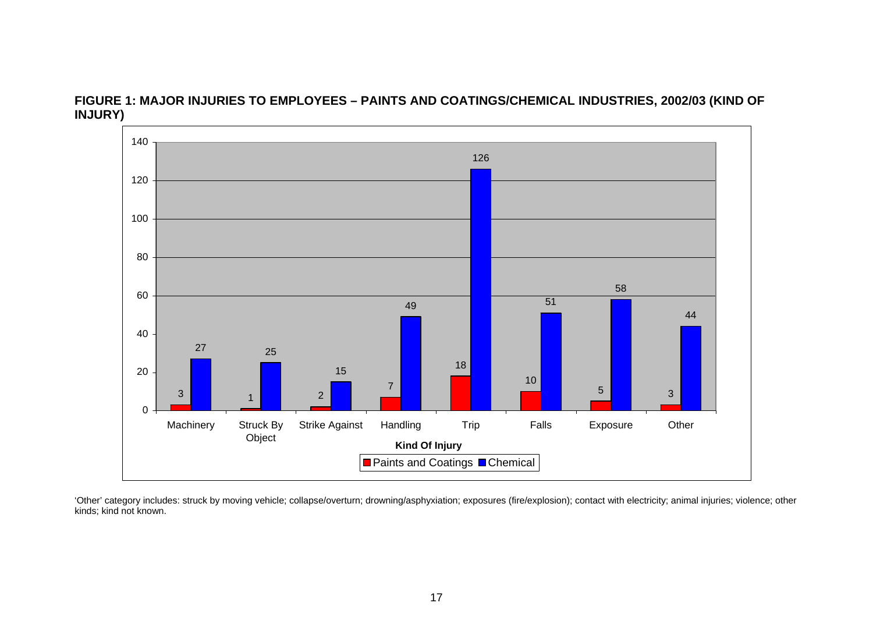

**FIGURE 1: MAJOR INJURIES TO EMPLOYEES – PAINTS AND COATINGS/CHEMICAL INDUSTRIES, 2002/03 (KIND OF INJURY)** 

<span id="page-17-0"></span>'Other' category includes: struck by moving vehicle; collapse/overturn; drowning/asphyxiation; exposures (fire/explosion); contact with electricity; animal injuries; violence; other kinds; kind not known.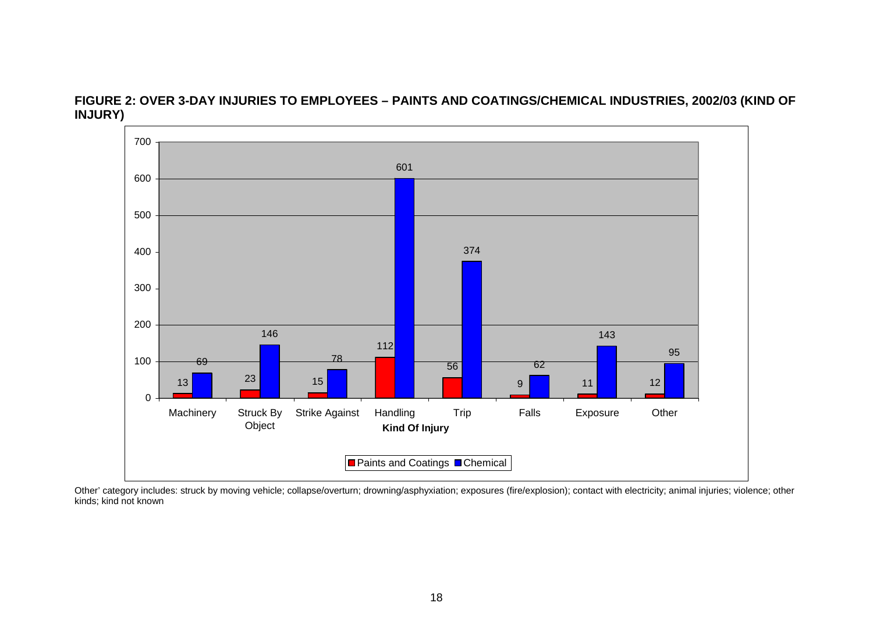

**FIGURE 2: OVER 3-DAY INJURIES TO EMPLOYEES – PAINTS AND COATINGS/CHEMICAL INDUSTRIES, 2002/03 (KIND OF INJURY)** 

<span id="page-18-0"></span>Other' category includes: struck by moving vehicle; collapse/overturn; drowning/asphyxiation; exposures (fire/explosion); contact with electricity; animal injuries; violence; other kinds; kind not known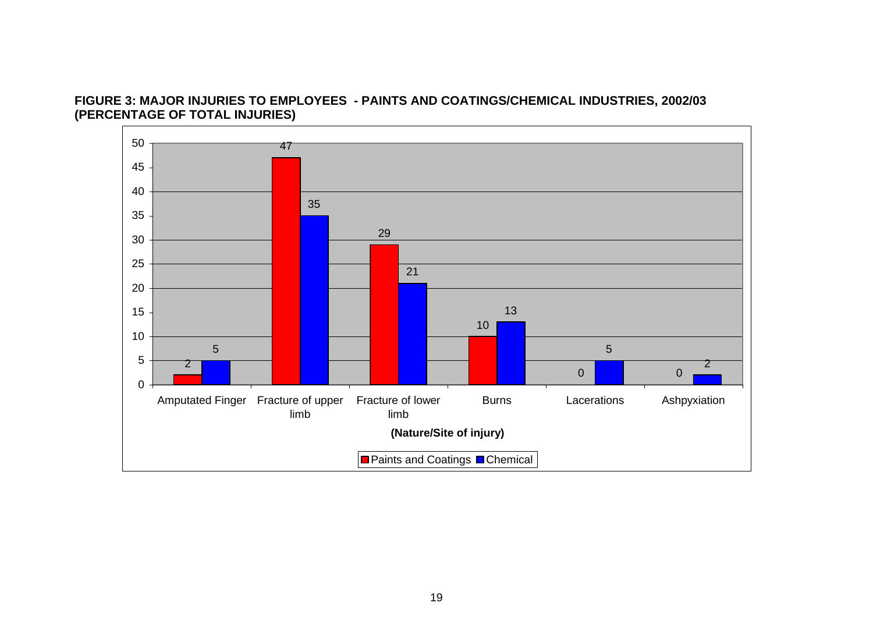#### **FIGURE 3: MAJOR INJURIES TO EMPLOYEES - PAINTS AND COATINGS/CHEMICAL INDUSTRIES, 2002/03 (PERCENTAGE OF TOTAL INJURIES)**

<span id="page-19-0"></span>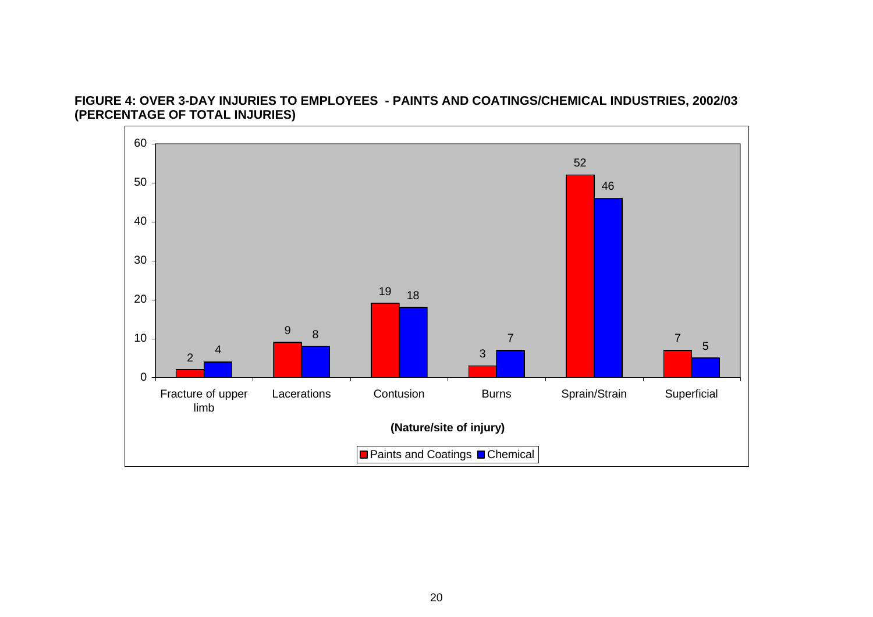#### **FIGURE 4: OVER 3-DAY INJURIES TO EMPLOYEES - PAINTS AND COATINGS/CHEMICAL INDUSTRIES, 2002/03 (PERCENTAGE OF TOTAL INJURIES)**

<span id="page-20-0"></span>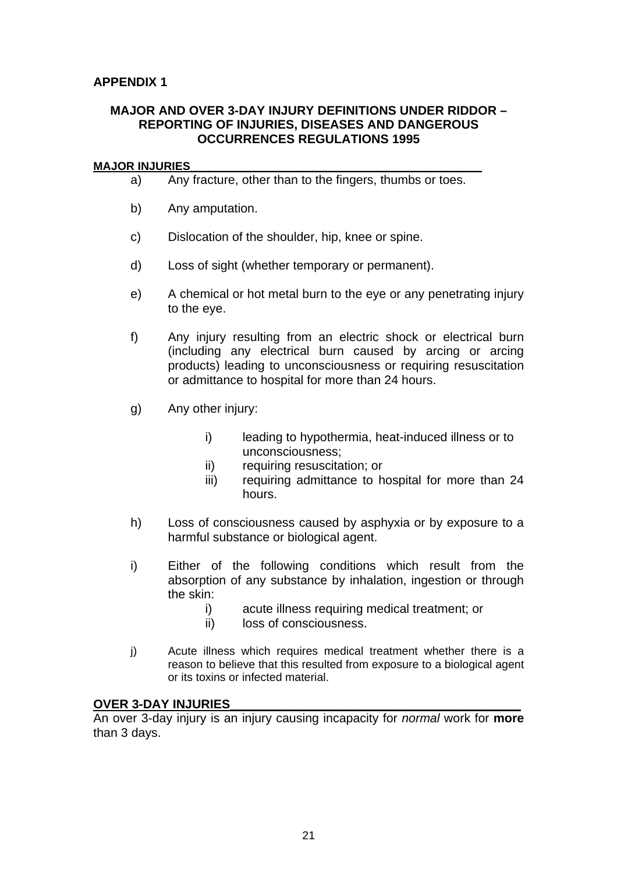## <span id="page-21-0"></span>**MAJOR AND OVER 3-DAY INJURY DEFINITIONS UNDER RIDDOR – REPORTING OF INJURIES, DISEASES AND DANGEROUS OCCURRENCES REGULATIONS 1995**

#### **MAJOR INJURIES\_\_\_\_\_\_\_\_\_\_\_\_\_\_\_\_\_\_\_\_\_\_\_\_\_\_\_\_\_\_\_\_\_\_\_\_\_\_\_\_\_\_\_\_\_\_**

- a) Any fracture, other than to the fingers, thumbs or toes.
- b) Any amputation.
- c) Dislocation of the shoulder, hip, knee or spine.
- d) Loss of sight (whether temporary or permanent).
- e) A chemical or hot metal burn to the eye or any penetrating injury to the eye.
- f) Any injury resulting from an electric shock or electrical burn (including any electrical burn caused by arcing or arcing products) leading to unconsciousness or requiring resuscitation or admittance to hospital for more than 24 hours.
- g) Any other injury:
	- i) leading to hypothermia, heat-induced illness or to unconsciousness;
	- ii) requiring resuscitation; or
	- iii) requiring admittance to hospital for more than 24 hours.
- h) Loss of consciousness caused by asphyxia or by exposure to a harmful substance or biological agent.
- i) Either of the following conditions which result from the absorption of any substance by inhalation, ingestion or through the skin:
	- i) acute illness requiring medical treatment; or
	- ii) loss of consciousness.
- j) Acute illness which requires medical treatment whether there is a reason to believe that this resulted from exposure to a biological agent or its toxins or infected material.

#### **OVER 3-DAY INJURIES**

An over 3-day injury is an injury causing incapacity for *normal* work for **more**  than 3 days.